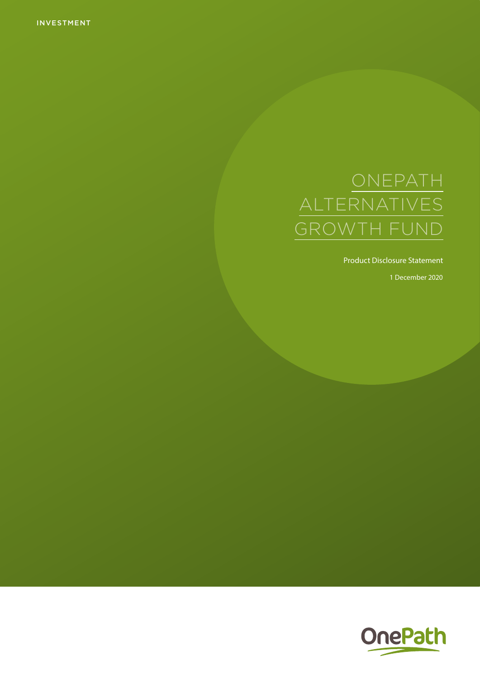INVESTMENT

# ONEPATH ALTERNATIVES GROWTH FUND

Product Disclosure Statement

1 December 2020

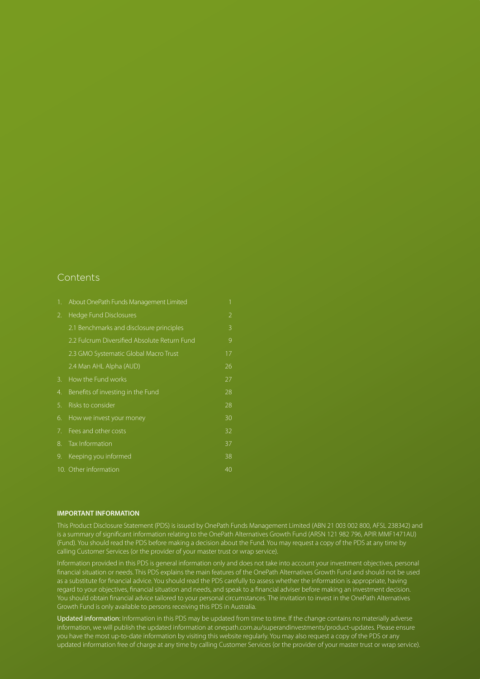### **Contents**

| 1. | About OnePath Funds Management Limited       | 1              |
|----|----------------------------------------------|----------------|
| 2. | Hedge Fund Disclosures                       | $\overline{2}$ |
|    | 2.1 Benchmarks and disclosure principles     | 3              |
|    | 2.2 Fulcrum Diversified Absolute Return Fund | 9              |
|    | 2.3 GMO Systematic Global Macro Trust        | 17             |
|    | 2.4 Man AHL Alpha (AUD)                      | 26             |
| 3. | How the Fund works                           | 27             |
| 4. | Benefits of investing in the Fund            | 28             |
| 5. | Risks to consider                            | 28             |
| 6. | How we invest your money                     | 30             |
| 7. | Fees and other costs                         | 32             |
| 8. | Tax Information                              | 37             |
| 9. | Keeping you informed                         | 38             |
|    | 10. Other information                        | 40             |

#### **IMPORTANT INFORMATION**

This Product Disclosure Statement (PDS) is issued by OnePath Funds Management Limited (ABN 21 003 002 800, AFSL 238342) and is a summary of significant information relating to the OnePath Alternatives Growth Fund (ARSN 121 982 796, APIR MMF1471AU) (Fund). You should read the PDS before making a decision about the Fund. You may request a copy of the PDS at any time by calling Customer Services (or the provider of your master trust or wrap service).

Information provided in this PDS is general information only and does not take into account your investment objectives, personal financial situation or needs. This PDS explains the main features of the OnePath Alternatives Growth Fund and should not be used as a substitute for financial advice. You should read the PDS carefully to assess whether the information is appropriate, having regard to your objectives, financial situation and needs, and speak to a financial adviser before making an investment decision. You should obtain financial advice tailored to your personal circumstances. The invitation to invest in the OnePath Alternatives Growth Fund is only available to persons receiving this PDS in Australia.

Updated information: Information in this PDS may be updated from time to time. If the change contains no materially adverse information, we will publish the updated information at [onepath.com.au/superandinvestments/product-updates.](http://onepath.com.au/superandinvestments/product-updates) Please ensure you have the most up-to-date information by visiting this website regularly. You may also request a copy of the PDS or any updated information free of charge at any time by calling Customer Services (or the provider of your master trust or wrap service).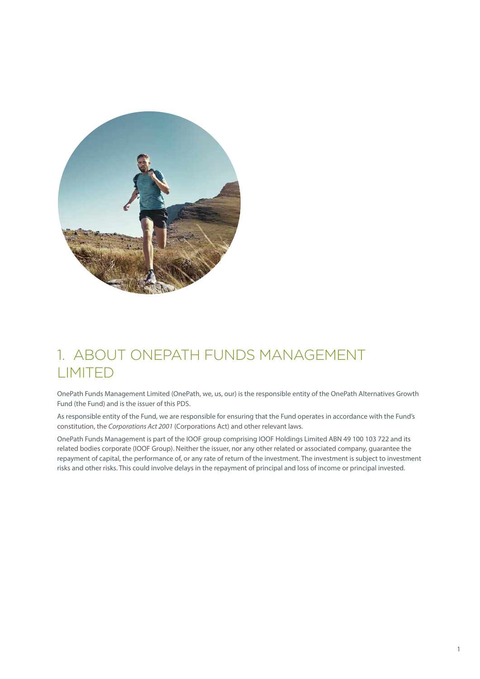<span id="page-2-0"></span>

# 1. ABOUT ONEPATH FUNDS MANAGEMENT LIMITED

OnePath Funds Management Limited (OnePath, we, us, our) is the responsible entity of the OnePath Alternatives Growth Fund (the Fund) and is the issuer of this PDS.

As responsible entity of the Fund, we are responsible for ensuring that the Fund operates in accordance with the Fund's constitution, the *Corporations Act 2001* (Corporations Act) and other relevant laws.

OnePath Funds Management is part of the IOOF group comprising IOOF Holdings Limited ABN 49 100 103 722 and its related bodies corporate (IOOF Group). Neither the issuer, nor any other related or associated company, guarantee the repayment of capital, the performance of, or any rate of return of the investment. The investment is subject to investment risks and other risks. This could involve delays in the repayment of principal and loss of income or principal invested.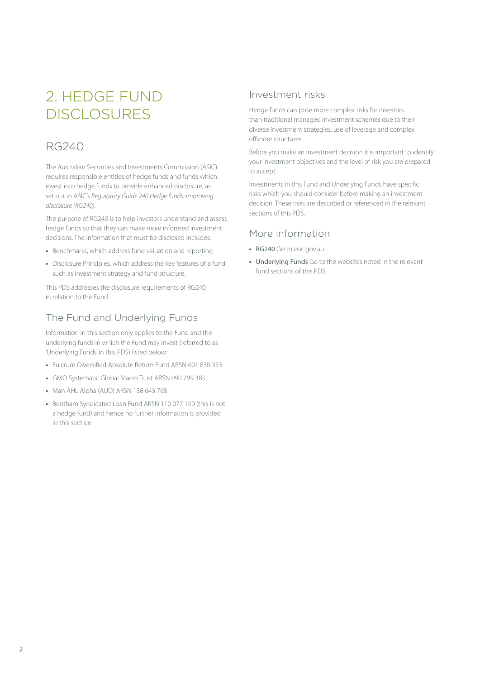# <span id="page-3-0"></span>2. HEDGE FUND DISCLOSURES

# RG240

The Australian Securities and Investments Commission (ASIC) requires responsible entities of hedge funds and funds which invest into hedge funds to provide enhanced disclosure, as set out in ASIC's *Regulatory Guide 240 Hedge funds: Improving disclosure (RG240).*

The purpose of RG240 is to help investors understand and assess hedge funds so that they can make more informed investment decisions. The information that must be disclosed includes:

- **•** Benchmarks, which address fund valuation and reporting
- **•** Disclosure Principles, which address the key features of a fund such as investment strategy and fund structure.

This PDS addresses the disclosure requirements of RG240 in relation to the Fund.

# The Fund and Underlying Funds

Information in this section only applies to the Fund and the underlying funds in which the Fund may invest (referred to as 'Underlying Funds' in this PDS) listed below:

- **•** Fulcrum Diversified Absolute Return Fund ARSN 601 830 353
- **•** GMO Systematic Global Macro Trust ARSN 090 799 385
- **•** Man AHL Alpha (AUD) ARSN 138 643 768
- **•** Bentham Syndicated Loan Fund ARSN 110 077 159 (this is not a hedge fund) and hence no further information is provided in this section.

## Investment risks

Hedge funds can pose more complex risks for investors than traditional managed investment schemes due to their diverse investment strategies, use of leverage and complex offshore structures.

Before you make an investment decision it is important to identify your investment objectives and the level of risk you are prepared to accept.

Investments in this Fund and Underlying Funds have specific risks which you should consider before making an investment decision. These risks are described or referenced in the relevant sections of this PDS.

### More information

- **•** RG240 Go to [asic.gov.au](http://asic.gov.au)
- **•** Underlying Funds Go to the websites noted in the relevant fund sections of this PDS.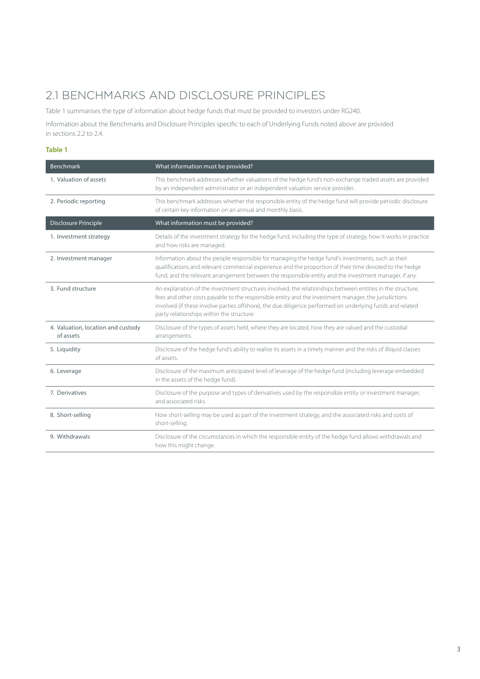# <span id="page-4-0"></span>2.1 BENCHMARKS AND DISCLOSURE PRINCIPLES

Table 1 summarises the type of information about hedge funds that must be provided to investors under RG240.

Information about the Benchmarks and Disclosure Principles specific to each of Underlying Funds noted above are provided in sections 2.2 to 2.4.

#### **Table 1**

| <b>Benchmark</b>                                | What information must be provided?                                                                                                                                                                                                                                                                                                                                           |
|-------------------------------------------------|------------------------------------------------------------------------------------------------------------------------------------------------------------------------------------------------------------------------------------------------------------------------------------------------------------------------------------------------------------------------------|
| 1. Valuation of assets                          | This benchmark addresses whether valuations of the hedge fund's non-exchange traded assets are provided<br>by an independent administrator or an independent valuation service provider.                                                                                                                                                                                     |
| 2. Periodic reporting                           | This benchmark addresses whether the responsible entity of the hedge fund will provide periodic disclosure<br>of certain key information on an annual and monthly basis.                                                                                                                                                                                                     |
| <b>Disclosure Principle</b>                     | What information must be provided?                                                                                                                                                                                                                                                                                                                                           |
| 1. Investment strategy                          | Details of the investment strategy for the hedge fund, including the type of strategy, how it works in practice<br>and how risks are managed.                                                                                                                                                                                                                                |
| 2. Investment manager                           | Information about the people responsible for managing the hedge fund's investments, such as their<br>qualifications and relevant commercial experience and the proportion of their time devoted to the hedge<br>fund, and the relevant arrangement between the responsible entity and the investment manager, if any.                                                        |
| 3. Fund structure                               | An explanation of the investment structures involved, the relationships between entities in the structure,<br>fees and other costs payable to the responsible entity and the investment manager, the jurisdictions<br>involved (if these involve parties offshore), the due diligence performed on underlying funds and related<br>party relationships within the structure. |
| 4. Valuation, location and custody<br>of assets | Disclosure of the types of assets held, where they are located, how they are valued and the custodial<br>arrangements.                                                                                                                                                                                                                                                       |
| 5. Liquidity                                    | Disclosure of the hedge fund's ability to realise its assets in a timely manner and the risks of illiquid classes<br>of assets.                                                                                                                                                                                                                                              |
| 6. Leverage                                     | Disclosure of the maximum anticipated level of leverage of the hedge fund (including leverage embedded<br>in the assets of the hedge fund).                                                                                                                                                                                                                                  |
| 7. Derivatives                                  | Disclosure of the purpose and types of derivatives used by the responsible entity or investment manager,<br>and associated risks.                                                                                                                                                                                                                                            |
| 8. Short-selling                                | How short-selling may be used as part of the investment strategy, and the associated risks and costs of<br>short-selling.                                                                                                                                                                                                                                                    |
| 9. Withdrawals                                  | Disclosure of the circumstances in which the responsible entity of the hedge fund allows withdrawals and<br>how this might change.                                                                                                                                                                                                                                           |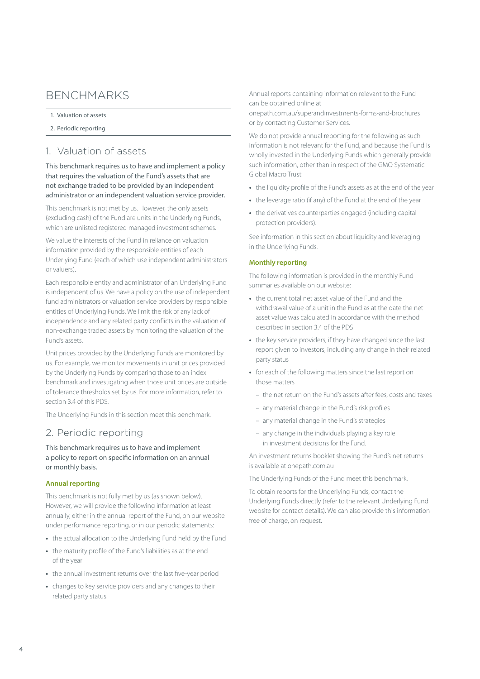# BENCHMARKS

- 1. [Valuation of assets](#page-5-0)
- 2. [Periodic reporting](#page-5-1)

## <span id="page-5-0"></span>1. Valuation of assets

This benchmark requires us to have and implement a policy that requires the valuation of the Fund's assets that are not exchange traded to be provided by an independent administrator or an independent valuation service provider.

This benchmark is not met by us. However, the only assets (excluding cash) of the Fund are units in the Underlying Funds, which are unlisted registered managed investment schemes.

We value the interests of the Fund in reliance on valuation information provided by the responsible entities of each Underlying Fund (each of which use independent administrators or valuers).

Each responsible entity and administrator of an Underlying Fund is independent of us. We have a policy on the use of independent fund administrators or valuation service providers by responsible entities of Underlying Funds. We limit the risk of any lack of independence and any related party conflicts in the valuation of non-exchange traded assets by monitoring the valuation of the Fund's assets.

Unit prices provided by the Underlying Funds are monitored by us. For example, we monitor movements in unit prices provided by the Underlying Funds by comparing those to an index benchmark and investigating when those unit prices are outside of tolerance thresholds set by us. For more information, refer to section 3.4 of this PDS.

The Underlying Funds in this section meet this benchmark.

## <span id="page-5-1"></span>2. Periodic reporting

This benchmark requires us to have and implement a policy to report on specific information on an annual or monthly basis.

#### **Annual reporting**

This benchmark is not fully met by us (as shown below). However, we will provide the following information at least annually, either in the annual report of the Fund, on our website under performance reporting, or in our periodic statements:

- **•** the actual allocation to the Underlying Fund held by the Fund
- **•** the maturity profile of the Fund's liabilities as at the end of the year
- **•** the annual investment returns over the last five-year period
- **•** changes to key service providers and any changes to their related party status.

Annual reports containing information relevant to the Fund can be obtained online at

[onepath.com.au/superandinvestments-forms-and-brochures](http://onepath.com.au/superandinvestments-forms-and-brochures) or by contacting Customer Services.

We do not provide annual reporting for the following as such information is not relevant for the Fund, and because the Fund is wholly invested in the Underlying Funds which generally provide such information, other than in respect of the GMO Systematic Global Macro Trust:

- **•** the liquidity profile of the Fund's assets as at the end of the year
- **•** the leverage ratio (if any) of the Fund at the end of the year
- **•** the derivatives counterparties engaged (including capital protection providers).

See information in this section about liquidity and leveraging in the Underlying Funds.

#### **Monthly reporting**

The following information is provided in the monthly Fund summaries available on our website:

- **•** the current total net asset value of the Fund and the withdrawal value of a unit in the Fund as at the date the net asset value was calculated in accordance with the method described in section 3.4 of the PDS
- **•** the key service providers, if they have changed since the last report given to investors, including any change in their related party status
- **•** for each of the following matters since the last report on those matters
	- the net return on the Fund's assets after fees, costs and taxes
	- any material change in the Fund's risk profiles
	- any material change in the Fund's strategies
	- any change in the individuals playing a key role in investment decisions for the Fund.

An investment returns booklet showing the Fund's net returns is available at [onepath.com.au](http://onepath.com.au)

The Underlying Funds of the Fund meet this benchmark.

To obtain reports for the Underlying Funds, contact the Underlying Funds directly (refer to the relevant Underlying Fund website for contact details). We can also provide this information free of charge, on request.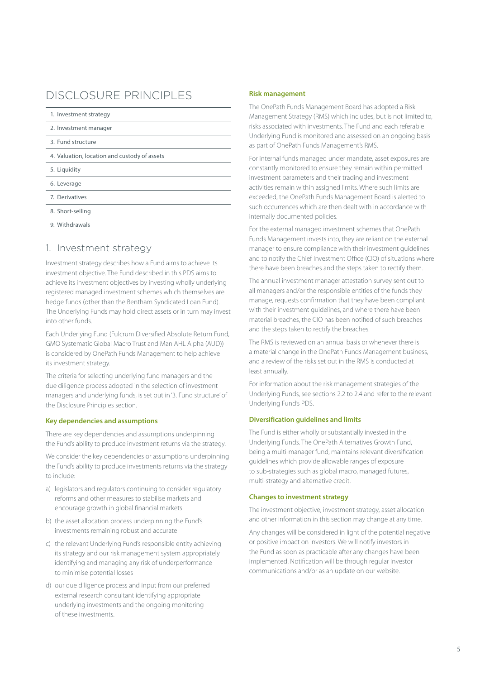# DISCLOSURE PRINCIPLES

| 1. Investment strategy                       |  |  |
|----------------------------------------------|--|--|
| 2. Investment manager                        |  |  |
| 3. Fund structure                            |  |  |
| 4. Valuation, location and custody of assets |  |  |
| 5. Liquidity                                 |  |  |
| 6. Leverage                                  |  |  |
| 7. Derivatives                               |  |  |
| 8. Short-selling                             |  |  |
| 9. Withdrawals                               |  |  |

### <span id="page-6-0"></span>1. Investment strategy

Investment strategy describes how a Fund aims to achieve its investment objective. The Fund described in this PDS aims to achieve its investment objectives by investing wholly underlying registered managed investment schemes which themselves are hedge funds (other than the Bentham Syndicated Loan Fund). The Underlying Funds may hold direct assets or in turn may invest into other funds.

Each Underlying Fund (Fulcrum Diversified Absolute Return Fund, GMO Systematic Global Macro Trust and Man AHL Alpha (AUD)) is considered by OnePath Funds Management to help achieve its investment strategy.

The criteria for selecting underlying fund managers and the due diligence process adopted in the selection of investment managers and underlying funds, is set out in '3. Fund structure' of the Disclosure Principles section.

#### **Key dependencies and assumptions**

There are key dependencies and assumptions underpinning the Fund's ability to produce investment returns via the strategy.

We consider the key dependencies or assumptions underpinning the Fund's ability to produce investments returns via the strategy to include:

- a) legislators and regulators continuing to consider regulatory reforms and other measures to stabilise markets and encourage growth in global financial markets
- b) the asset allocation process underpinning the Fund's investments remaining robust and accurate
- c) the relevant Underlying Fund's responsible entity achieving its strategy and our risk management system appropriately identifying and managing any risk of underperformance to minimise potential losses
- d) our due diligence process and input from our preferred external research consultant identifying appropriate underlying investments and the ongoing monitoring of these investments.

#### **Risk management**

The OnePath Funds Management Board has adopted a Risk Management Strategy (RMS) which includes, but is not limited to, risks associated with investments. The Fund and each referable Underlying Fund is monitored and assessed on an ongoing basis as part of OnePath Funds Management's RMS.

For internal funds managed under mandate, asset exposures are constantly monitored to ensure they remain within permitted investment parameters and their trading and investment activities remain within assigned limits. Where such limits are exceeded, the OnePath Funds Management Board is alerted to such occurrences which are then dealt with in accordance with internally documented policies.

For the external managed investment schemes that OnePath Funds Management invests into, they are reliant on the external manager to ensure compliance with their investment guidelines and to notify the Chief Investment Office (CIO) of situations where there have been breaches and the steps taken to rectify them.

The annual investment manager attestation survey sent out to all managers and/or the responsible entities of the funds they manage, requests confirmation that they have been compliant with their investment guidelines, and where there have been material breaches, the CIO has been notified of such breaches and the steps taken to rectify the breaches.

The RMS is reviewed on an annual basis or whenever there is a material change in the OnePath Funds Management business, and a review of the risks set out in the RMS is conducted at least annually.

For information about the risk management strategies of the Underlying Funds, see sections 2.2 to 2.4 and refer to the relevant Underlying Fund's PDS.

#### **Diversification guidelines and limits**

The Fund is either wholly or substantially invested in the Underlying Funds. The OnePath Alternatives Growth Fund, being a multi-manager fund, maintains relevant diversification guidelines which provide allowable ranges of exposure to sub-strategies such as global macro, managed futures, multi-strategy and alternative credit.

#### **Changes to investment strategy**

The investment objective, investment strategy, asset allocation and other information in this section may change at any time.

Any changes will be considered in light of the potential negative or positive impact on investors. We will notify investors in the Fund as soon as practicable after any changes have been implemented. Notification will be through regular investor communications and/or as an update on our website.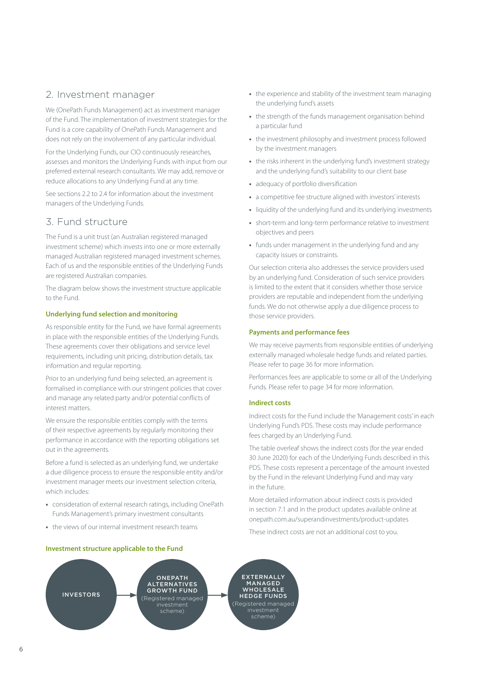# <span id="page-7-0"></span>2. Investment manager

We (OnePath Funds Management) act as investment manager of the Fund. The implementation of investment strategies for the Fund is a core capability of OnePath Funds Management and does not rely on the involvement of any particular individual.

For the Underlying Funds, our CIO continuously researches, assesses and monitors the Underlying Funds with input from our preferred external research consultants. We may add, remove or reduce allocations to any Underlying Fund at any time.

See sections 2.2 to 2.4 for information about the investment managers of the Underlying Funds.

# <span id="page-7-1"></span>3. Fund structure

The Fund is a unit trust (an Australian registered managed investment scheme) which invests into one or more externally managed Australian registered managed investment schemes. Each of us and the responsible entities of the Underlying Funds are registered Australian companies.

The diagram below shows the investment structure applicable to the Fund.

#### **Underlying fund selection and monitoring**

As responsible entity for the Fund, we have formal agreements in place with the responsible entities of the Underlying Funds. These agreements cover their obligations and service level requirements, including unit pricing, distribution details, tax information and regular reporting.

Prior to an underlying fund being selected, an agreement is formalised in compliance with our stringent policies that cover and manage any related party and/or potential conflicts of interest matters.

We ensure the responsible entities comply with the terms of their respective agreements by regularly monitoring their performance in accordance with the reporting obligations set out in the agreements.

Before a fund is selected as an underlying fund, we undertake a due diligence process to ensure the responsible entity and/or investment manager meets our investment selection criteria, which includes:

- **•** consideration of external research ratings, including OnePath Funds Management's primary investment consultants
- **•** the views of our internal investment research teams

#### **Investment structure applicable to the Fund**

- **•** the experience and stability of the investment team managing the underlying fund's assets
- **•** the strength of the funds management organisation behind a particular fund
- **•** the investment philosophy and investment process followed by the investment managers
- **•** the risks inherent in the underlying fund's investment strategy and the underlying fund's suitability to our client base
- **•** adequacy of portfolio diversification
- **•** a competitive fee structure aligned with investors' interests
- **•** liquidity of the underlying fund and its underlying investments
- **•** short-term and long-term performance relative to investment objectives and peers
- **•** funds under management in the underlying fund and any capacity issues or constraints.

Our selection criteria also addresses the service providers used by an underlying fund. Consideration of such service providers is limited to the extent that it considers whether those service providers are reputable and independent from the underlying funds. We do not otherwise apply a due diligence process to those service providers.

#### **Payments and performance fees**

We may receive payments from responsible entities of underlying externally managed wholesale hedge funds and related parties. Please refer to page 36 for more information.

Performances fees are applicable to some or all of the Underlying Funds. Please refer to page 34 for more information.

#### **Indirect costs**

Indirect costs for the Fund include the 'Management costs' in each Underlying Fund's PDS. These costs may include performance fees charged by an Underlying Fund.

The table overleaf shows the indirect costs (for the year ended 30 June 2020) for each of the Underlying Funds described in this PDS. These costs represent a percentage of the amount invested by the Fund in the relevant Underlying Fund and may vary in the future.

More detailed information about indirect costs is provided in section 7.1 and in the product updates available online at [onepath.com.au/superandinvestments/product-updates](http://onepath.com.au/superandinvestments/product-updates)

These indirect costs are not an additional cost to you.

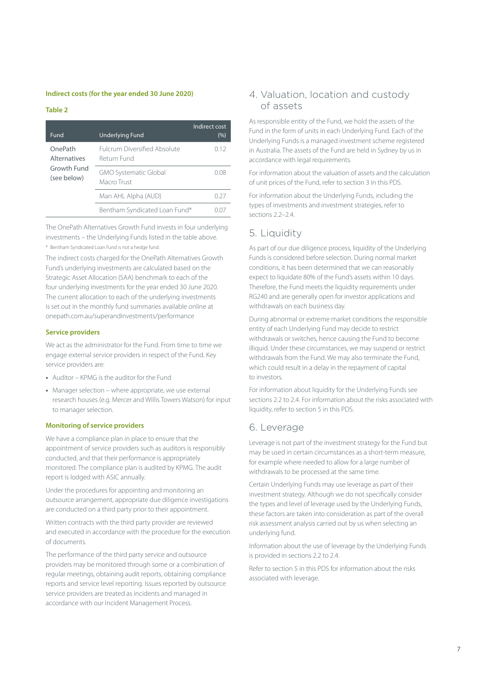#### **Indirect costs (for the year ended 30 June 2020)**

#### **Table 2**

| Fund                           | <b>Underlying Fund</b>                             | Indirect cost<br>(%) |
|--------------------------------|----------------------------------------------------|----------------------|
| OnePath<br><b>Alternatives</b> | <b>Fulcrum Diversified Absolute</b><br>Return Fund | 0.12                 |
| Growth Fund<br>(see below)     | <b>GMO Systematic Global</b><br>Macro Trust        | 008                  |
|                                | Man AHL Alpha (AUD)                                | N 27                 |
|                                | Bentham Syndicated Loan Fund*                      |                      |

The OnePath Alternatives Growth Fund invests in four underlying investments – the Underlying Funds listed in the table above.

\* Bentham Syndicated Loan Fund is not a hedge fund.

The indirect costs charged for the OnePath Alternatives Growth Fund's underlying investments are calculated based on the Strategic Asset Allocation (SAA) benchmark to each of the four underlying investments for the year ended 30 June 2020. The current allocation to each of the underlying investments is set out in the monthly fund summaries available online at [onepath.com.au/superandinvestments/performance](http://onepath.com.au/superandinvestments/performance)

#### **Service providers**

We act as the administrator for the Fund. From time to time we engage external service providers in respect of the Fund. Key service providers are:

- **•** Auditor KPMG is the auditor for the Fund
- **•** Manager selection where appropriate, we use external research houses (e.g. Mercer and Willis Towers Watson) for input to manager selection.

#### **Monitoring of service providers**

We have a compliance plan in place to ensure that the appointment of service providers such as auditors is responsibly conducted, and that their performance is appropriately monitored. The compliance plan is audited by KPMG. The audit report is lodged with ASIC annually.

Under the procedures for appointing and monitoring an outsource arrangement, appropriate due diligence investigations are conducted on a third party prior to their appointment.

Written contracts with the third party provider are reviewed and executed in accordance with the procedure for the execution of documents.

The performance of the third party service and outsource providers may be monitored through some or a combination of regular meetings, obtaining audit reports, obtaining compliance reports and service level reporting. Issues reported by outsource service providers are treated as incidents and managed in accordance with our Incident Management Process.

### 4. Valuation, location and custody of assets

As responsible entity of the Fund, we hold the assets of the Fund in the form of units in each Underlying Fund. Each of the Underlying Funds is a managed investment scheme registered in Australia. The assets of the Fund are held in Sydney by us in accordance with legal requirements.

For information about the valuation of assets and the calculation of unit prices of the Fund, refer to section 3 in this PDS.

For information about the Underlying Funds, including the types of investments and investment strategies, refer to sections 2.2–2.4

# <span id="page-8-0"></span>5. Liquidity

As part of our due diligence process, liquidity of the Underlying Funds is considered before selection. During normal market conditions, it has been determined that we can reasonably expect to liquidate 80% of the Fund's assets within 10 days. Therefore, the Fund meets the liquidity requirements under RG240 and are generally open for investor applications and withdrawals on each business day.

During abnormal or extreme market conditions the responsible entity of each Underlying Fund may decide to restrict withdrawals or switches, hence causing the Fund to become illiquid. Under these circumstances, we may suspend or restrict withdrawals from the Fund. We may also terminate the Fund, which could result in a delay in the repayment of capital to investors.

For information about liquidity for the Underlying Funds see sections 2.2 to 2.4. For information about the risks associated with liquidity, refer to section 5 in this PDS.

## <span id="page-8-1"></span>6. Leverage

Leverage is not part of the investment strategy for the Fund but may be used in certain circumstances as a short-term measure, for example where needed to allow for a large number of withdrawals to be processed at the same time.

Certain Underlying Funds may use leverage as part of their investment strategy. Although we do not specifically consider the types and level of leverage used by the Underlying Funds, these factors are taken into consideration as part of the overall risk assessment analysis carried out by us when selecting an underlying fund.

Information about the use of leverage by the Underlying Funds is provided in sections 2.2 to 2.4.

Refer to section 5 in this PDS for information about the risks associated with leverage.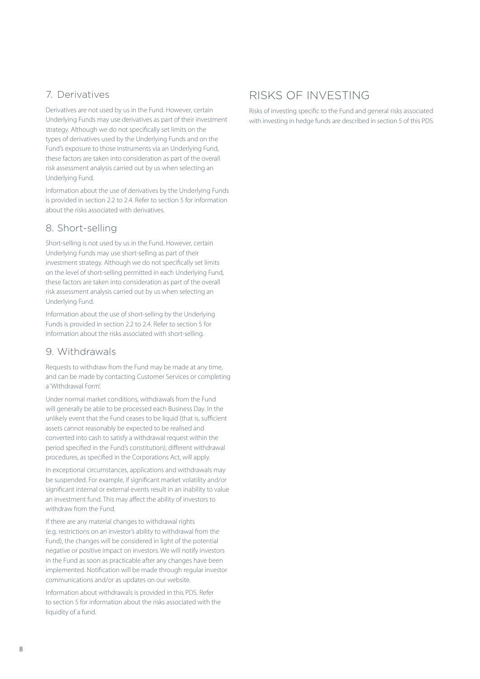# <span id="page-9-0"></span>7. Derivatives

Derivatives are not used by us in the Fund. However, certain Underlying Funds may use derivatives as part of their investment strategy. Although we do not specifically set limits on the types of derivatives used by the Underlying Funds and on the Fund's exposure to those instruments via an Underlying Fund, these factors are taken into consideration as part of the overall risk assessment analysis carried out by us when selecting an Underlying Fund.

Information about the use of derivatives by the Underlying Funds is provided in section 2.2 to 2.4. Refer to section 5 for information about the risks associated with derivatives.

# <span id="page-9-1"></span>8. Short-selling

Short-selling is not used by us in the Fund. However, certain Underlying Funds may use short-selling as part of their investment strategy. Although we do not specifically set limits on the level of short-selling permitted in each Underlying Fund, these factors are taken into consideration as part of the overall risk assessment analysis carried out by us when selecting an Underlying Fund.

Information about the use of short-selling by the Underlying Funds is provided in section 2.2 to 2.4. Refer to section 5 for information about the risks associated with short-selling.

## <span id="page-9-2"></span>9. Withdrawals

Requests to withdraw from the Fund may be made at any time, and can be made by contacting Customer Services or completing a 'Withdrawal Form'.

Under normal market conditions, withdrawals from the Fund will generally be able to be processed each Business Day. In the unlikely event that the Fund ceases to be liquid (that is, sufficient assets cannot reasonably be expected to be realised and converted into cash to satisfy a withdrawal request within the period specified in the Fund's constitution), different withdrawal procedures, as specified in the Corporations Act, will apply.

In exceptional circumstances, applications and withdrawals may be suspended. For example, if significant market volatility and/or significant internal or external events result in an inability to value an investment fund. This may affect the ability of investors to withdraw from the Fund.

If there are any material changes to withdrawal rights (e.g. restrictions on an investor's ability to withdrawal from the Fund), the changes will be considered in light of the potential negative or positive impact on investors. We will notify investors in the Fund as soon as practicable after any changes have been implemented. Notification will be made through regular investor communications and/or as updates on our website.

Information about withdrawals is provided in this PDS. Refer to section 5 for information about the risks associated with the liquidity of a fund.

# RISKS OF INVESTING

Risks of investing specific to the Fund and general risks associated with investing in hedge funds are described in section 5 of this PDS.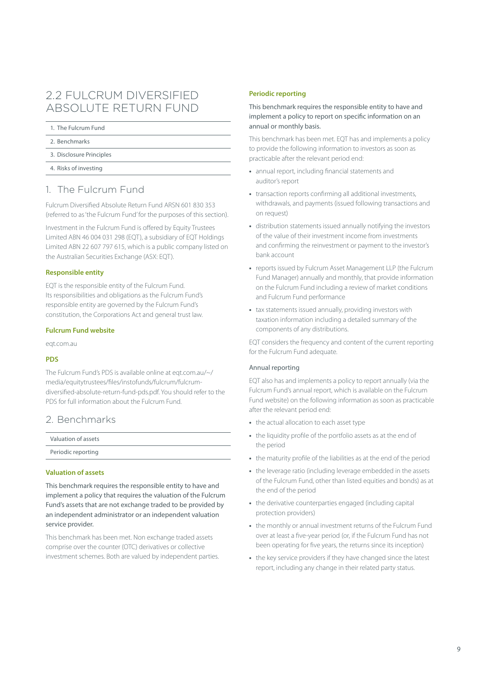# <span id="page-10-0"></span>2.2 FULCRUM DIVERSIFIED ABSOLUTE RETURN FUND

#### 1. [The Fulcrum Fund](#page-10-1)

- 2. [Benchmarks](#page-10-2)
- 3. [Disclosure Principles](#page-11-0)
- 4. [Risks of investing](#page-16-0)

# <span id="page-10-1"></span>1. The Fulcrum Fund

Fulcrum Diversified Absolute Return Fund ARSN 601 830 353 (referred to as 'the Fulcrum Fund' for the purposes of this section).

Investment in the Fulcrum Fund is offered by Equity Trustees Limited ABN 46 004 031 298 (EQT), a subsidiary of EQT Holdings Limited ABN 22 607 797 615, which is a public company listed on the Australian Securities Exchange (ASX: EQT).

#### **Responsible entity**

EQT is the responsible entity of the Fulcrum Fund. Its responsibilities and obligations as the Fulcrum Fund's responsible entity are governed by the Fulcrum Fund's constitution, the Corporations Act and general trust law.

#### **Fulcrum Fund website**

[eqt.com.au](http://eqt.com.au)

#### **PDS**

The Fulcrum Fund's PDS is available online at [eqt.com.au/~/](http://eqt.com.au/~/media/equitytrustees/files/instofunds/fulcrum/fulcrum-diversified-absolute-return-fund-pds.pdf) [media/equitytrustees/files/instofunds/fulcrum/fulcrum](http://eqt.com.au/~/media/equitytrustees/files/instofunds/fulcrum/fulcrum-diversified-absolute-return-fund-pds.pdf)[diversified-absolute-return-fund-pds.pdf.](http://eqt.com.au/~/media/equitytrustees/files/instofunds/fulcrum/fulcrum-diversified-absolute-return-fund-pds.pdf) You should refer to the PDS for full information about the Fulcrum Fund.

## <span id="page-10-2"></span>2. Benchmarks

| Valuation of assets |  |
|---------------------|--|
| Periodic reporting  |  |

#### **Valuation of assets**

This benchmark requires the responsible entity to have and implement a policy that requires the valuation of the Fulcrum Fund's assets that are not exchange traded to be provided by an independent administrator or an independent valuation service provider.

This benchmark has been met. Non exchange traded assets comprise over the counter (OTC) derivatives or collective investment schemes. Both are valued by independent parties.

#### **Periodic reporting**

This benchmark requires the responsible entity to have and implement a policy to report on specific information on an annual or monthly basis.

This benchmark has been met. EQT has and implements a policy to provide the following information to investors as soon as practicable after the relevant period end:

- **•** annual report, including financial statements and auditor's report
- **•** transaction reports confirming all additional investments, withdrawals, and payments (issued following transactions and on request)
- **•** distribution statements issued annually notifying the investors of the value of their investment income from investments and confirming the reinvestment or payment to the investor's bank account
- **•** reports issued by Fulcrum Asset Management LLP (the Fulcrum Fund Manager) annually and monthly, that provide information on the Fulcrum Fund including a review of market conditions and Fulcrum Fund performance
- **•** tax statements issued annually, providing investors with taxation information including a detailed summary of the components of any distributions.

EQT considers the frequency and content of the current reporting for the Fulcrum Fund adequate.

#### Annual reporting

EQT also has and implements a policy to report annually (via the Fulcrum Fund's annual report, which is available on the Fulcrum Fund website) on the following information as soon as practicable after the relevant period end:

- **•** the actual allocation to each asset type
- **•** the liquidity profile of the portfolio assets as at the end of the period
- **•** the maturity profile of the liabilities as at the end of the period
- **•** the leverage ratio (including leverage embedded in the assets of the Fulcrum Fund, other than listed equities and bonds) as at the end of the period
- **•** the derivative counterparties engaged (including capital protection providers)
- **•** the monthly or annual investment returns of the Fulcrum Fund over at least a five-year period (or, if the Fulcrum Fund has not been operating for five years, the returns since its inception)
- **•** the key service providers if they have changed since the latest report, including any change in their related party status.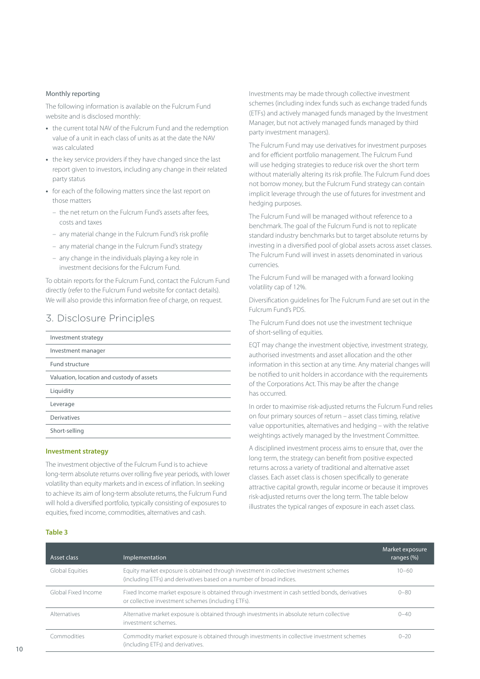#### Monthly reporting

The following information is available on the Fulcrum Fund website and is disclosed monthly:

- **•** the current total NAV of the Fulcrum Fund and the redemption value of a unit in each class of units as at the date the NAV was calculated
- **•** the key service providers if they have changed since the last report given to investors, including any change in their related party status
- **•** for each of the following matters since the last report on those matters
	- the net return on the Fulcrum Fund's assets after fees, costs and taxes
	- any material change in the Fulcrum Fund's risk profile
	- any material change in the Fulcrum Fund's strategy
	- any change in the individuals playing a key role in investment decisions for the Fulcrum Fund.

To obtain reports for the Fulcrum Fund, contact the Fulcrum Fund directly (refer to the Fulcrum Fund website for contact details). We will also provide this information free of charge, on request.

## <span id="page-11-0"></span>3. Disclosure Principles

| Investment strategy                       |
|-------------------------------------------|
| Investment manager                        |
| Fund structure                            |
| Valuation, location and custody of assets |
| Liquidity                                 |
| Leverage                                  |
| Derivatives                               |
| Short-selling                             |
|                                           |

#### **Investment strategy**

The investment objective of the Fulcrum Fund is to achieve long-term absolute returns over rolling five year periods, with lower volatility than equity markets and in excess of inflation. In seeking to achieve its aim of long-term absolute returns, the Fulcrum Fund will hold a diversified portfolio, typically consisting of exposures to equities, fixed income, commodities, alternatives and cash.

Investments may be made through collective investment schemes (including index funds such as exchange traded funds (ETFs) and actively managed funds managed by the Investment Manager, but not actively managed funds managed by third party investment managers).

The Fulcrum Fund may use derivatives for investment purposes and for efficient portfolio management. The Fulcrum Fund will use hedging strategies to reduce risk over the short term without materially altering its risk profile. The Fulcrum Fund does not borrow money, but the Fulcrum Fund strategy can contain implicit leverage through the use of futures for investment and hedging purposes.

The Fulcrum Fund will be managed without reference to a benchmark. The goal of the Fulcrum Fund is not to replicate standard industry benchmarks but to target absolute returns by investing in a diversified pool of global assets across asset classes. The Fulcrum Fund will invest in assets denominated in various currencies.

The Fulcrum Fund will be managed with a forward looking volatility cap of 12%.

Diversification guidelines for The Fulcrum Fund are set out in the Fulcrum Fund's PDS.

The Fulcrum Fund does not use the investment technique of short-selling of equities.

EQT may change the investment objective, investment strategy, authorised investments and asset allocation and the other information in this section at any time. Any material changes will be notified to unit holders in accordance with the requirements of the Corporations Act. This may be after the change has occurred.

In order to maximise risk-adjusted returns the Fulcrum Fund relies on four primary sources of return – asset class timing, relative value opportunities, alternatives and hedging – with the relative weightings actively managed by the Investment Committee.

A disciplined investment process aims to ensure that, over the long term, the strategy can benefit from positive expected returns across a variety of traditional and alternative asset classes. Each asset class is chosen specifically to generate attractive capital growth, regular income or because it improves risk-adjusted returns over the long term. The table below illustrates the typical ranges of exposure in each asset class.

#### **Table 3**

| Asset class         | Implementation                                                                                                                                                 | Market exposure<br>ranges $(\%)$ |
|---------------------|----------------------------------------------------------------------------------------------------------------------------------------------------------------|----------------------------------|
| Global Equities     | Equity market exposure is obtained through investment in collective investment schemes<br>(including ETFs) and derivatives based on a number of broad indices. | $10 - 60$                        |
| Global Fixed Income | Fixed Income market exposure is obtained through investment in cash settled bonds, derivatives<br>or collective investment schemes (including ETFs).           | $0 - 80$                         |
| Alternatives        | Alternative market exposure is obtained through investments in absolute return collective<br>investment schemes.                                               | $() - 4()$                       |
| Commodities         | Commodity market exposure is obtained through investments in collective investment schemes<br>(including ETFs) and derivatives.                                | $0 - 20$                         |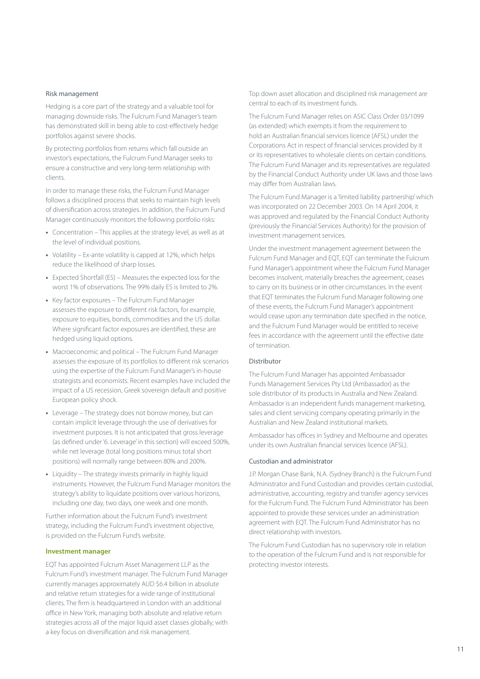#### Risk management

Hedging is a core part of the strategy and a valuable tool for managing downside risks. The Fulcrum Fund Manager's team has demonstrated skill in being able to cost-effectively hedge portfolios against severe shocks.

By protecting portfolios from returns which fall outside an investor's expectations, the Fulcrum Fund Manager seeks to ensure a constructive and very long-term relationship with clients.

In order to manage these risks, the Fulcrum Fund Manager follows a disciplined process that seeks to maintain high levels of diversification across strategies. In addition, the Fulcrum Fund Manager continuously monitors the following portfolio risks:

- **•** Concentration This applies at the strategy level, as well as at the level of individual positions.
- **•** Volatility Ex-ante volatility is capped at 12%, which helps reduce the likelihood of sharp losses.
- **•** Expected Shortfall (ES) Measures the expected loss for the worst 1% of observations. The 99% daily ES is limited to 2%.
- **•** Key factor exposures The Fulcrum Fund Manager assesses the exposure to different risk factors, for example, exposure to equities, bonds, commodities and the US dollar. Where significant factor exposures are identified, these are hedged using liquid options.
- **•** Macroeconomic and political The Fulcrum Fund Manager assesses the exposure of its portfolios to different risk scenarios using the expertise of the Fulcrum Fund Manager's in-house strategists and economists. Recent examples have included the impact of a US recession, Greek sovereign default and positive European policy shock.
- **•** Leverage The strategy does not borrow money, but can contain implicit leverage through the use of derivatives for investment purposes. It is not anticipated that gross leverage (as defined under '6. Leverage' in this section) will exceed 500%, while net leverage (total long positions minus total short positions) will normally range between 80% and 200%.
- **•** Liquidity The strategy invests primarily in highly liquid instruments. However, the Fulcrum Fund Manager monitors the strategy's ability to liquidate positions over various horizons, including one day, two days, one week and one month.

Further information about the Fulcrum Fund's investment strategy, including the Fulcrum Fund's investment objective, is provided on the Fulcrum Fund's website.

#### **Investment manager**

EQT has appointed Fulcrum Asset Management LLP as the Fulcrum Fund's investment manager. The Fulcrum Fund Manager currently manages approximately AUD \$6.4 billion in absolute and relative return strategies for a wide range of institutional clients. The firm is headquartered in London with an additional office in New York, managing both absolute and relative return strategies across all of the major liquid asset classes globally, with a key focus on diversification and risk management.

Top down asset allocation and disciplined risk management are central to each of its investment funds.

The Fulcrum Fund Manager relies on ASIC Class Order 03/1099 (as extended) which exempts it from the requirement to hold an Australian financial services licence (AFSL) under the Corporations Act in respect of financial services provided by it or its representatives to wholesale clients on certain conditions. The Fulcrum Fund Manager and its representatives are regulated by the Financial Conduct Authority under UK laws and those laws may differ from Australian laws.

The Fulcrum Fund Manager is a 'limited liability partnership' which was incorporated on 22 December 2003. On 14 April 2004, it was approved and regulated by the Financial Conduct Authority (previously the Financial Services Authority) for the provision of investment management services.

Under the investment management agreement between the Fulcrum Fund Manager and EQT, EQT can terminate the Fulcrum Fund Manager's appointment where the Fulcrum Fund Manager becomes insolvent, materially breaches the agreement, ceases to carry on its business or in other circumstances. In the event that EQT terminates the Fulcrum Fund Manager following one of these events, the Fulcrum Fund Manager's appointment would cease upon any termination date specified in the notice, and the Fulcrum Fund Manager would be entitled to receive fees in accordance with the agreement until the effective date of termination.

#### Distributor

The Fulcrum Fund Manager has appointed Ambassador Funds Management Services Pty Ltd (Ambassador) as the sole distributor of its products in Australia and New Zealand. Ambassador is an independent funds management marketing, sales and client servicing company operating primarily in the Australian and New Zealand institutional markets.

Ambassador has offices in Sydney and Melbourne and operates under its own Australian financial services licence (AFSL).

#### Custodian and administrator

J.P. Morgan Chase Bank, N.A. (Sydney Branch) is the Fulcrum Fund Administrator and Fund Custodian and provides certain custodial, administrative, accounting, registry and transfer agency services for the Fulcrum Fund. The Fulcrum Fund Administrator has been appointed to provide these services under an administration agreement with EQT. The Fulcrum Fund Administrator has no direct relationship with investors.

The Fulcrum Fund Custodian has no supervisory role in relation to the operation of the Fulcrum Fund and is not responsible for protecting investor interests.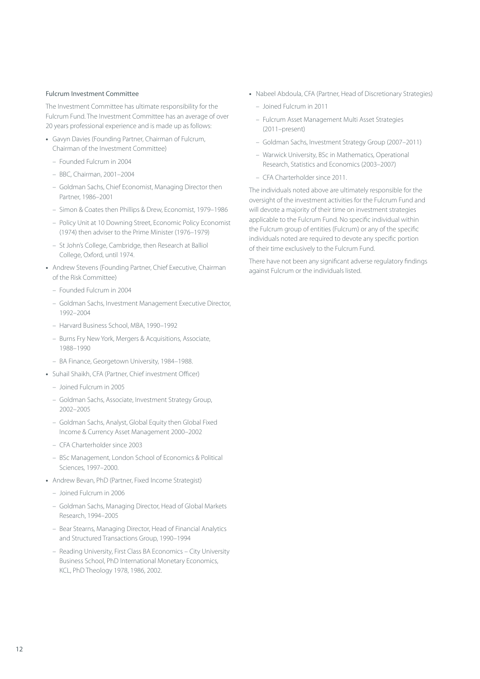#### Fulcrum Investment Committee

The Investment Committee has ultimate responsibility for the Fulcrum Fund. The Investment Committee has an average of over 20 years professional experience and is made up as follows:

- **•** Gavyn Davies (Founding Partner, Chairman of Fulcrum, Chairman of the Investment Committee)
	- Founded Fulcrum in 2004
	- BBC, Chairman, 2001–2004
	- Goldman Sachs, Chief Economist, Managing Director then Partner, 1986–2001
	- Simon & Coates then Phillips & Drew, Economist, 1979–1986
	- Policy Unit at 10 Downing Street, Economic Policy Economist (1974) then adviser to the Prime Minister (1976–1979)
	- St John's College, Cambridge, then Research at Balliol College, Oxford, until 1974.
- **•** Andrew Stevens (Founding Partner, Chief Executive, Chairman of the Risk Committee)
	- Founded Fulcrum in 2004
	- Goldman Sachs, Investment Management Executive Director, 1992–2004
	- Harvard Business School, MBA, 1990–1992
	- Burns Fry New York, Mergers & Acquisitions, Associate, 1988–1990
	- BA Finance, Georgetown University, 1984–1988.
- **•** Suhail Shaikh, CFA (Partner, Chief investment Officer)
	- Joined Fulcrum in 2005
	- Goldman Sachs, Associate, Investment Strategy Group, 2002–2005
	- Goldman Sachs, Analyst, Global Equity then Global Fixed Income & Currency Asset Management 2000–2002
	- CFA Charterholder since 2003
	- BSc Management, London School of Economics & Political Sciences, 1997–2000.
- **•** Andrew Bevan, PhD (Partner, Fixed Income Strategist)
	- Joined Fulcrum in 2006
	- Goldman Sachs, Managing Director, Head of Global Markets Research, 1994–2005
	- Bear Stearns, Managing Director, Head of Financial Analytics and Structured Transactions Group, 1990–1994
	- Reading University, First Class BA Economics City University Business School, PhD International Monetary Economics, KCL, PhD Theology 1978, 1986, 2002.
- **•** Nabeel Abdoula, CFA (Partner, Head of Discretionary Strategies)
	- Joined Fulcrum in 2011
	- Fulcrum Asset Management Multi Asset Strategies (2011–present)
	- Goldman Sachs, Investment Strategy Group (2007–2011)
	- Warwick University, BSc in Mathematics, Operational Research, Statistics and Economics (2003–2007)
	- CFA Charterholder since 2011.

The individuals noted above are ultimately responsible for the oversight of the investment activities for the Fulcrum Fund and will devote a majority of their time on investment strategies applicable to the Fulcrum Fund. No specific individual within the Fulcrum group of entities (Fulcrum) or any of the specific individuals noted are required to devote any specific portion of their time exclusively to the Fulcrum Fund.

There have not been any significant adverse regulatory findings against Fulcrum or the individuals listed.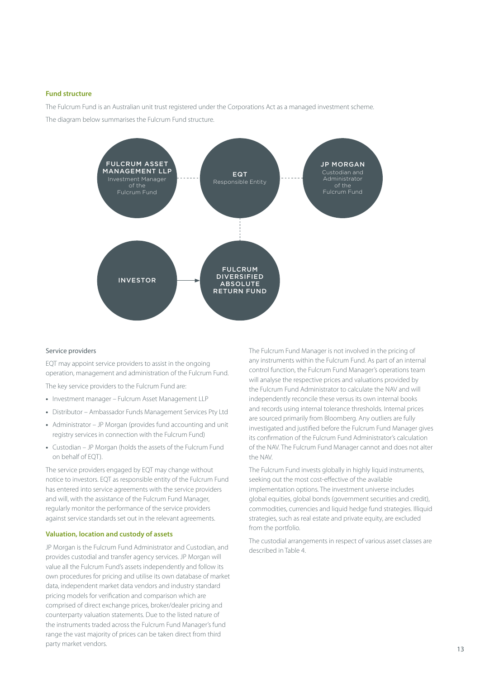#### **Fund structure**

The Fulcrum Fund is an Australian unit trust registered under the Corporations Act as a managed investment scheme. The diagram below summarises the Fulcrum Fund structure.



#### Service providers

EQT may appoint service providers to assist in the ongoing operation, management and administration of the Fulcrum Fund.

The key service providers to the Fulcrum Fund are:

- **•** Investment manager Fulcrum Asset Management LLP
- **•** Distributor Ambassador Funds Management Services Pty Ltd
- **•** Administrator JP Morgan (provides fund accounting and unit registry services in connection with the Fulcrum Fund)
- **•** Custodian JP Morgan (holds the assets of the Fulcrum Fund on behalf of EQT).

The service providers engaged by EQT may change without notice to investors. EQT as responsible entity of the Fulcrum Fund has entered into service agreements with the service providers and will, with the assistance of the Fulcrum Fund Manager, regularly monitor the performance of the service providers against service standards set out in the relevant agreements.

#### **Valuation, location and custody of assets**

JP Morgan is the Fulcrum Fund Administrator and Custodian, and provides custodial and transfer agency services. JP Morgan will value all the Fulcrum Fund's assets independently and follow its own procedures for pricing and utilise its own database of market data, independent market data vendors and industry standard pricing models for verification and comparison which are comprised of direct exchange prices, broker/dealer pricing and counterparty valuation statements. Due to the listed nature of the instruments traded across the Fulcrum Fund Manager's fund range the vast majority of prices can be taken direct from third party market vendors.

The Fulcrum Fund Manager is not involved in the pricing of any instruments within the Fulcrum Fund. As part of an internal control function, the Fulcrum Fund Manager's operations team will analyse the respective prices and valuations provided by the Fulcrum Fund Administrator to calculate the NAV and will independently reconcile these versus its own internal books and records using internal tolerance thresholds. Internal prices are sourced primarily from Bloomberg. Any outliers are fully investigated and justified before the Fulcrum Fund Manager gives its confirmation of the Fulcrum Fund Administrator's calculation of the NAV. The Fulcrum Fund Manager cannot and does not alter the NAV.

The Fulcrum Fund invests globally in highly liquid instruments, seeking out the most cost-effective of the available implementation options. The investment universe includes global equities, global bonds (government securities and credit), commodities, currencies and liquid hedge fund strategies. Illiquid strategies, such as real estate and private equity, are excluded from the portfolio.

The custodial arrangements in respect of various asset classes are described in Table 4.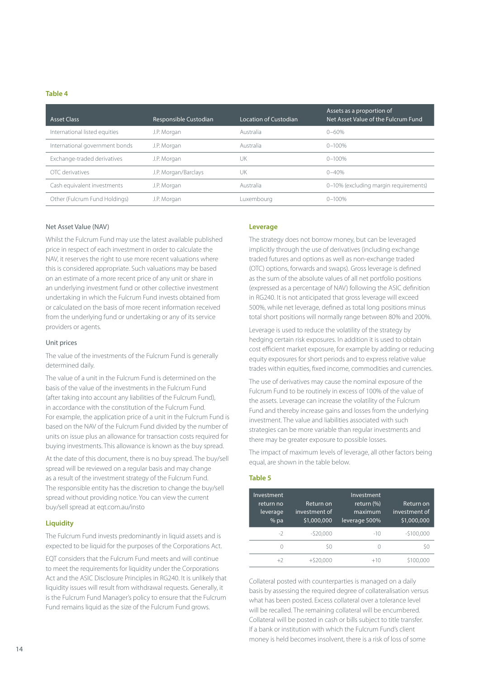#### **Table 4**

| <b>Asset Class</b>             | Responsible Custodian | Location of Custodian | Assets as a proportion of<br>Net Asset Value of the Fulcrum Fund |
|--------------------------------|-----------------------|-----------------------|------------------------------------------------------------------|
| International listed equities  | J.P. Morgan           | Australia             | $0 - 60%$                                                        |
| International government bonds | J.P. Morgan           | Australia             | $0 - 100%$                                                       |
| Exchange-traded derivatives    | J.P. Morgan           | UK                    | $0 - 100%$                                                       |
| OTC derivatives                | J.P. Morgan/Barclays  | UK                    | $0 - 40%$                                                        |
| Cash equivalent investments    | J.P. Morgan           | Australia             | 0-10% (excluding margin requirements)                            |
| Other (Fulcrum Fund Holdings)  | J.P. Morgan           | Luxembourg            | $0 - 100%$                                                       |

#### Net Asset Value (NAV)

Whilst the Fulcrum Fund may use the latest available published price in respect of each investment in order to calculate the NAV, it reserves the right to use more recent valuations where this is considered appropriate. Such valuations may be based on an estimate of a more recent price of any unit or share in an underlying investment fund or other collective investment undertaking in which the Fulcrum Fund invests obtained from or calculated on the basis of more recent information received from the underlying fund or undertaking or any of its service providers or agents.

#### Unit prices

The value of the investments of the Fulcrum Fund is generally determined daily.

The value of a unit in the Fulcrum Fund is determined on the basis of the value of the investments in the Fulcrum Fund (after taking into account any liabilities of the Fulcrum Fund), in accordance with the constitution of the Fulcrum Fund. For example, the application price of a unit in the Fulcrum Fund is based on the NAV of the Fulcrum Fund divided by the number of units on issue plus an allowance for transaction costs required for buying investments. This allowance is known as the buy spread.

At the date of this document, there is no buy spread. The buy/sell spread will be reviewed on a regular basis and may change as a result of the investment strategy of the Fulcrum Fund. The responsible entity has the discretion to change the buy/sell spread without providing notice. You can view the current buy/sell spread at [eqt.com.au/insto](http://eqt.com.au/insto)

#### **Liquidity**

The Fulcrum Fund invests predominantly in liquid assets and is expected to be liquid for the purposes of the Corporations Act.

EQT considers that the Fulcrum Fund meets and will continue to meet the requirements for liquidity under the Corporations Act and the ASIC Disclosure Principles in RG240. It is unlikely that liquidity issues will result from withdrawal requests. Generally, it is the Fulcrum Fund Manager's policy to ensure that the Fulcrum Fund remains liquid as the size of the Fulcrum Fund grows.

#### **Leverage**

The strategy does not borrow money, but can be leveraged implicitly through the use of derivatives (including exchange traded futures and options as well as non-exchange traded (OTC) options, forwards and swaps). Gross leverage is defined as the sum of the absolute values of all net portfolio positions (expressed as a percentage of NAV) following the ASIC definition in RG240. It is not anticipated that gross leverage will exceed 500%, while net leverage, defined as total long positions minus total short positions will normally range between 80% and 200%.

Leverage is used to reduce the volatility of the strategy by hedging certain risk exposures. In addition it is used to obtain cost efficient market exposure, for example by adding or reducing equity exposures for short periods and to express relative value trades within equities, fixed income, commodities and currencies.

The use of derivatives may cause the nominal exposure of the Fulcrum Fund to be routinely in excess of 100% of the value of the assets. Leverage can increase the volatility of the Fulcrum Fund and thereby increase gains and losses from the underlying investment. The value and liabilities associated with such strategies can be more variable than regular investments and there may be greater exposure to possible losses.

The impact of maximum levels of leverage, all other factors being equal, are shown in the table below.

#### **Table 5**

| Investment<br>return no<br>leverage<br>$%$ pa | Return on<br>investment of<br>\$1,000,000 | Investment<br>return (%)<br>maximum<br>leverage 500% | Return on<br>investment of<br>\$1,000,000 |
|-----------------------------------------------|-------------------------------------------|------------------------------------------------------|-------------------------------------------|
| $-2$                                          | $-520.000$                                | $-10$                                                | $-$100,000$                               |
| 0                                             | Ś0                                        | 0                                                    | SΟ                                        |
| $+2$                                          | $+520.000$                                | $+10$                                                | \$100.000                                 |

Collateral posted with counterparties is managed on a daily basis by assessing the required degree of collateralisation versus what has been posted. Excess collateral over a tolerance level will be recalled. The remaining collateral will be encumbered. Collateral will be posted in cash or bills subject to title transfer. If a bank or institution with which the Fulcrum Fund's client money is held becomes insolvent, there is a risk of loss of some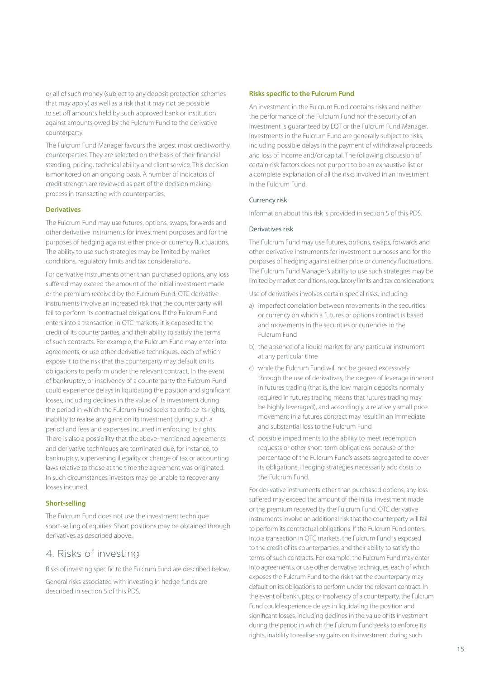or all of such money (subject to any deposit protection schemes that may apply) as well as a risk that it may not be possible to set off amounts held by such approved bank or institution against amounts owed by the Fulcrum Fund to the derivative counterparty.

The Fulcrum Fund Manager favours the largest most creditworthy counterparties. They are selected on the basis of their financial standing, pricing, technical ability and client service. This decision is monitored on an ongoing basis. A number of indicators of credit strength are reviewed as part of the decision making process in transacting with counterparties.

#### **Derivatives**

The Fulcrum Fund may use futures, options, swaps, forwards and other derivative instruments for investment purposes and for the purposes of hedging against either price or currency fluctuations. The ability to use such strategies may be limited by market conditions, regulatory limits and tax considerations.

For derivative instruments other than purchased options, any loss suffered may exceed the amount of the initial investment made or the premium received by the Fulcrum Fund. OTC derivative instruments involve an increased risk that the counterparty will fail to perform its contractual obligations. If the Fulcrum Fund enters into a transaction in OTC markets, it is exposed to the credit of its counterparties, and their ability to satisfy the terms of such contracts. For example, the Fulcrum Fund may enter into agreements, or use other derivative techniques, each of which expose it to the risk that the counterparty may default on its obligations to perform under the relevant contract. In the event of bankruptcy, or insolvency of a counterparty the Fulcrum Fund could experience delays in liquidating the position and significant losses, including declines in the value of its investment during the period in which the Fulcrum Fund seeks to enforce its rights, inability to realise any gains on its investment during such a period and fees and expenses incurred in enforcing its rights. There is also a possibility that the above-mentioned agreements and derivative techniques are terminated due, for instance, to bankruptcy, supervening illegality or change of tax or accounting laws relative to those at the time the agreement was originated. In such circumstances investors may be unable to recover any losses incurred.

#### **Short-selling**

The Fulcrum Fund does not use the investment technique short-selling of equities. Short positions may be obtained through derivatives as described above.

### <span id="page-16-0"></span>4. Risks of investing

Risks of investing specific to the Fulcrum Fund are described below.

General risks associated with investing in hedge funds are described in section 5 of this PDS.

#### **Risks specific to the Fulcrum Fund**

An investment in the Fulcrum Fund contains risks and neither the performance of the Fulcrum Fund nor the security of an investment is guaranteed by EQT or the Fulcrum Fund Manager. Investments in the Fulcrum Fund are generally subject to risks, including possible delays in the payment of withdrawal proceeds and loss of income and/or capital. The following discussion of certain risk factors does not purport to be an exhaustive list or a complete explanation of all the risks involved in an investment in the Fulcrum Fund.

#### Currency risk

Information about this risk is provided in section 5 of this PDS.

#### Derivatives risk

The Fulcrum Fund may use futures, options, swaps, forwards and other derivative instruments for investment purposes and for the purposes of hedging against either price or currency fluctuations. The Fulcrum Fund Manager's ability to use such strategies may be limited by market conditions, regulatory limits and tax considerations.

Use of derivatives involves certain special risks, including:

- a) imperfect correlation between movements in the securities or currency on which a futures or options contract is based and movements in the securities or currencies in the Fulcrum Fund
- b) the absence of a liquid market for any particular instrument at any particular time
- c) while the Fulcrum Fund will not be geared excessively through the use of derivatives, the degree of leverage inherent in futures trading (that is, the low margin deposits normally required in futures trading means that futures trading may be highly leveraged), and accordingly, a relatively small price movement in a futures contract may result in an immediate and substantial loss to the Fulcrum Fund
- d) possible impediments to the ability to meet redemption requests or other short-term obligations because of the percentage of the Fulcrum Fund's assets segregated to cover its obligations. Hedging strategies necessarily add costs to the Fulcrum Fund.

For derivative instruments other than purchased options, any loss suffered may exceed the amount of the initial investment made or the premium received by the Fulcrum Fund. OTC derivative instruments involve an additional risk that the counterparty will fail to perform its contractual obligations. If the Fulcrum Fund enters into a transaction in OTC markets, the Fulcrum Fund is exposed to the credit of its counterparties, and their ability to satisfy the terms of such contracts. For example, the Fulcrum Fund may enter into agreements, or use other derivative techniques, each of which exposes the Fulcrum Fund to the risk that the counterparty may default on its obligations to perform under the relevant contract. In the event of bankruptcy, or insolvency of a counterparty, the Fulcrum Fund could experience delays in liquidating the position and significant losses, including declines in the value of its investment during the period in which the Fulcrum Fund seeks to enforce its rights, inability to realise any gains on its investment during such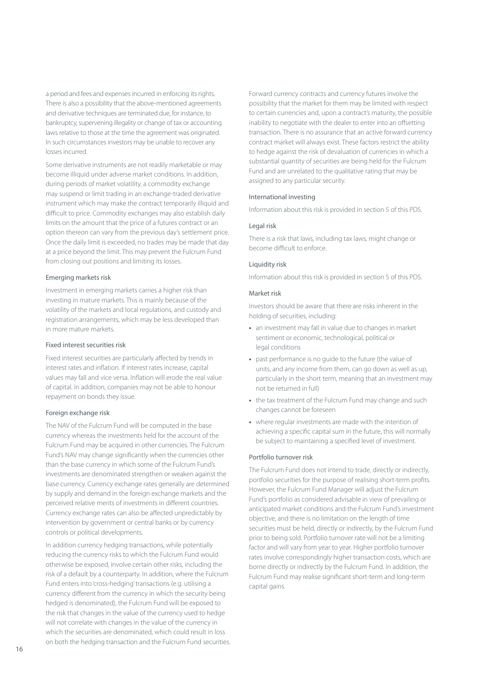a period and fees and expenses incurred in enforcing its rights. There is also a possibility that the above-mentioned agreements and derivative techniques are terminated due, for instance, to bankruptcy, supervening illegality or change of tax or accounting laws relative to those at the time the agreement was originated. In such circumstances investors may be unable to recover any losses incurred.

Some derivative instruments are not readily marketable or may become illiquid under adverse market conditions. In addition, during periods of market volatility, a commodity exchange may suspend or limit trading in an exchange-traded derivative instrument which may make the contract temporarily illiquid and difficult to price. Commodity exchanges may also establish daily limits on the amount that the price of a futures contract or an option thereon can vary from the previous day's settlement price. Once the daily limit is exceeded, no trades may be made that day at a price beyond the limit. This may prevent the Fulcrum Fund from closing out positions and limiting its losses.

#### Emerging markets risk

Investment in emerging markets carries a higher risk than investing in mature markets. This is mainly because of the volatility of the markets and local regulations, and custody and registration arrangements, which may be less developed than in more mature markets.

#### Fixed interest securities risk

Fixed interest securities are particularly affected by trends in interest rates and inflation. If interest rates increase, capital values may fall and vice versa. Inflation will erode the real value of capital. In addition, companies may not be able to honour repayment on bonds they issue.

#### Foreign exchange risk

The NAV of the Fulcrum Fund will be computed in the base currency whereas the investments held for the account of the Fulcrum Fund may be acquired in other currencies. The Fulcrum Fund's NAV may change significantly when the currencies other than the base currency in which some of the Fulcrum Fund's investments are denominated strengthen or weaken against the base currency. Currency exchange rates generally are determined by supply and demand in the foreign exchange markets and the perceived relative merits of investments in different countries. Currency exchange rates can also be affected unpredictably by intervention by government or central banks or by currency controls or political developments.

In addition currency hedging transactions, while potentially reducing the currency risks to which the Fulcrum Fund would otherwise be exposed, involve certain other risks, including the risk of a default by a counterparty. In addition, where the Fulcrum Fund enters into 'cross-hedging' transactions (e.g. utilising a currency different from the currency in which the security being hedged is denominated), the Fulcrum Fund will be exposed to the risk that changes in the value of the currency used to hedge will not correlate with changes in the value of the currency in which the securities are denominated, which could result in loss on both the hedging transaction and the Fulcrum Fund securities.

Forward currency contracts and currency futures involve the possibility that the market for them may be limited with respect to certain currencies and, upon a contract's maturity, the possible inability to negotiate with the dealer to enter into an offsetting transaction. There is no assurance that an active forward currency contract market will always exist. These factors restrict the ability to hedge against the risk of devaluation of currencies in which a substantial quantity of securities are being held for the Fulcrum Fund and are unrelated to the qualitative rating that may be assigned to any particular security.

#### International investing

Information about this risk is provided in section 5 of this PDS.

#### Legal risk

There is a risk that laws, including tax laws, might change or become difficult to enforce.

#### Liquidity risk

Information about this risk is provided in section 5 of this PDS.

#### Market risk

Investors should be aware that there are risks inherent in the holding of securities, including:

- **•** an investment may fall in value due to changes in market sentiment or economic, technological, political or legal conditions
- **•** past performance is no guide to the future (the value of units, and any income from them, can go down as well as up, particularly in the short term, meaning that an investment may not be returned in full)
- **•** the tax treatment of the Fulcrum Fund may change and such changes cannot be foreseen
- **•** where regular investments are made with the intention of achieving a specific capital sum in the future, this will normally be subject to maintaining a specified level of investment.

#### Portfolio turnover risk

The Fulcrum Fund does not intend to trade, directly or indirectly, portfolio securities for the purpose of realising short-term profits. However, the Fulcrum Fund Manager will adjust the Fulcrum Fund's portfolio as considered advisable in view of prevailing or anticipated market conditions and the Fulcrum Fund's investment objective, and there is no limitation on the length of time securities must be held, directly or indirectly, by the Fulcrum Fund prior to being sold. Portfolio turnover rate will not be a limiting factor and will vary from year to year. Higher portfolio turnover rates involve correspondingly higher transaction costs, which are borne directly or indirectly by the Fulcrum Fund. In addition, the Fulcrum Fund may realise significant short-term and long-term capital gains.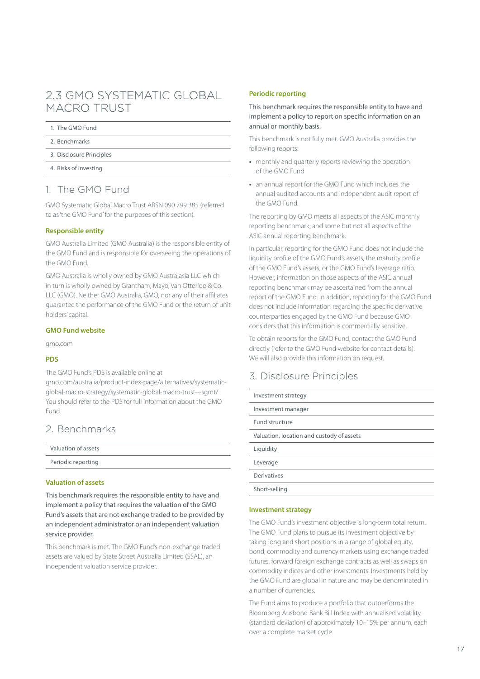# <span id="page-18-0"></span>2.3 GMO SYSTEMATIC GLOBAL MACRO TRUST

#### 1. [The G](#page-18-1)MO Fund

- 2. [Benchmarks](#page-18-2)
- 3. [Disclosure Principles](#page-18-3)
- 4. [Risks of investing](#page-23-0)

# <span id="page-18-1"></span>1. The GMO Fund

GMO Systematic Global Macro Trust ARSN 090 799 385 (referred to as 'the GMO Fund' for the purposes of this section).

#### **Responsible entity**

GMO Australia Limited (GMO Australia) is the responsible entity of the GMO Fund and is responsible for overseeing the operations of the GMO Fund.

GMO Australia is wholly owned by GMO Australasia LLC which in turn is wholly owned by Grantham, Mayo, Van Otterloo & Co. LLC (GMO). Neither GMO Australia, GMO, nor any of their affiliates guarantee the performance of the GMO Fund or the return of unit holders' capital.

#### **GMO Fund website**

[gmo.com](http://gmo.com)

#### **PDS**

The GMO Fund's PDS is available online at [gmo.com/australia/product-index-page/alternatives/systematic-](http://gmo.com/australia/product-index-page/alternatives/systematic-global-macro-strategy/systematic-global-macro-trust---sgmt/)

[global-macro-strategy/systematic-global-macro-trust---sgmt/](http://gmo.com/australia/product-index-page/alternatives/systematic-global-macro-strategy/systematic-global-macro-trust---sgmt/)  You should refer to the PDS for full information about the GMO Fund.

## <span id="page-18-2"></span>2. Benchmarks

| Valuation of assets |  |
|---------------------|--|
| Periodic reporting  |  |
|                     |  |

#### **Valuation of assets**

This benchmark requires the responsible entity to have and implement a policy that requires the valuation of the GMO Fund's assets that are not exchange traded to be provided by an independent administrator or an independent valuation service provider.

This benchmark is met. The GMO Fund's non-exchange traded assets are valued by State Street Australia Limited (SSAL), an independent valuation service provider.

#### **Periodic reporting**

This benchmark requires the responsible entity to have and implement a policy to report on specific information on an annual or monthly basis.

This benchmark is not fully met. GMO Australia provides the following reports:

- **•** monthly and quarterly reports reviewing the operation of the GMO Fund
- **•** an annual report for the GMO Fund which includes the annual audited accounts and independent audit report of the GMO Fund.

The reporting by GMO meets all aspects of the ASIC monthly reporting benchmark, and some but not all aspects of the ASIC annual reporting benchmark.

In particular, reporting for the GMO Fund does not include the liquidity profile of the GMO Fund's assets, the maturity profile of the GMO Fund's assets, or the GMO Fund's leverage ratio. However, information on those aspects of the ASIC annual reporting benchmark may be ascertained from the annual report of the GMO Fund. In addition, reporting for the GMO Fund does not include information regarding the specific derivative counterparties engaged by the GMO Fund because GMO considers that this information is commercially sensitive.

To obtain reports for the GMO Fund, contact the GMO Fund directly (refer to the GMO Fund website for contact details). We will also provide this information on request.

## <span id="page-18-3"></span>3. Disclosure Principles

| Investment strategy                       |  |  |
|-------------------------------------------|--|--|
| Investment manager                        |  |  |
| Fund structure                            |  |  |
| Valuation, location and custody of assets |  |  |
| Liquidity                                 |  |  |
| Leverage                                  |  |  |
| Derivatives                               |  |  |
| Short-selling                             |  |  |

#### **Investment strategy**

The GMO Fund's investment objective is long-term total return. The GMO Fund plans to pursue its investment objective by taking long and short positions in a range of global equity, bond, commodity and currency markets using exchange traded futures, forward foreign exchange contracts as well as swaps on commodity indices and other investments. Investments held by the GMO Fund are global in nature and may be denominated in a number of currencies.

The Fund aims to produce a portfolio that outperforms the Bloomberg Ausbond Bank Bill Index with annualised volatility (standard deviation) of approximately 10–15% per annum, each over a complete market cycle.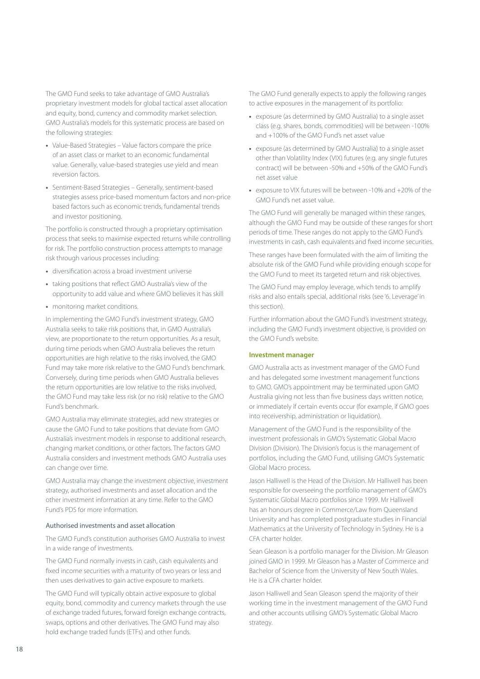The GMO Fund seeks to take advantage of GMO Australia's proprietary investment models for global tactical asset allocation and equity, bond, currency and commodity market selection. GMO Australia's models for this systematic process are based on the following strategies:

- **•** Value-Based Strategies Value factors compare the price of an asset class or market to an economic fundamental value. Generally, value-based strategies use yield and mean reversion factors.
- **•** Sentiment-Based Strategies Generally, sentiment-based strategies assess price-based momentum factors and non-price based factors such as economic trends, fundamental trends and investor positioning.

The portfolio is constructed through a proprietary optimisation process that seeks to maximise expected returns while controlling for risk. The portfolio construction process attempts to manage risk through various processes including:

- **•** diversification across a broad investment universe
- **•** taking positions that reflect GMO Australia's view of the opportunity to add value and where GMO believes it has skill
- **•** monitoring market conditions.

In implementing the GMO Fund's investment strategy, GMO Australia seeks to take risk positions that, in GMO Australia's view, are proportionate to the return opportunities. As a result, during time periods when GMO Australia believes the return opportunities are high relative to the risks involved, the GMO Fund may take more risk relative to the GMO Fund's benchmark. Conversely, during time periods when GMO Australia believes the return opportunities are low relative to the risks involved, the GMO Fund may take less risk (or no risk) relative to the GMO Fund's benchmark.

GMO Australia may eliminate strategies, add new strategies or cause the GMO Fund to take positions that deviate from GMO Australia's investment models in response to additional research, changing market conditions, or other factors. The factors GMO Australia considers and investment methods GMO Australia uses can change over time.

GMO Australia may change the investment objective, investment strategy, authorised investments and asset allocation and the other investment information at any time. Refer to the GMO Fund's PDS for more information.

#### Authorised investments and asset allocation

The GMO Fund's constitution authorises GMO Australia to invest in a wide range of investments.

The GMO Fund normally invests in cash, cash equivalents and fixed income securities with a maturity of two years or less and then uses derivatives to gain active exposure to markets.

The GMO Fund will typically obtain active exposure to global equity, bond, commodity and currency markets through the use of exchange traded futures, forward foreign exchange contracts, swaps, options and other derivatives. The GMO Fund may also hold exchange traded funds (ETFs) and other funds.

The GMO Fund generally expects to apply the following ranges to active exposures in the management of its portfolio:

- **•** exposure (as determined by GMO Australia) to a single asset class (e.g. shares, bonds, commodities) will be between -100% and +100% of the GMO Fund's net asset value
- **•** exposure (as determined by GMO Australia) to a single asset other than Volatility Index (VIX) futures (e.g. any single futures contract) will be between -50% and +50% of the GMO Fund's net asset value
- **•** exposure to VIX futures will be between -10% and +20% of the GMO Fund's net asset value.

The GMO Fund will generally be managed within these ranges, although the GMO Fund may be outside of these ranges for short periods of time. These ranges do not apply to the GMO Fund's investments in cash, cash equivalents and fixed income securities.

These ranges have been formulated with the aim of limiting the absolute risk of the GMO Fund while providing enough scope for the GMO Fund to meet its targeted return and risk objectives.

The GMO Fund may employ leverage, which tends to amplify risks and also entails special, additional risks (see '6. Leverage' in this section).

Further information about the GMO Fund's investment strategy, including the GMO Fund's investment objective, is provided on the GMO Fund's website.

#### **Investment manager**

GMO Australia acts as investment manager of the GMO Fund and has delegated some investment management functions to GMO. GMO's appointment may be terminated upon GMO Australia giving not less than five business days written notice, or immediately if certain events occur (for example, if GMO goes into receivership, administration or liquidation).

Management of the GMO Fund is the responsibility of the investment professionals in GMO's Systematic Global Macro Division (Division). The Division's focus is the management of portfolios, including the GMO Fund, utilising GMO's Systematic Global Macro process.

Jason Halliwell is the Head of the Division. Mr Halliwell has been responsible for overseeing the portfolio management of GMO's Systematic Global Macro portfolios since 1999. Mr Halliwell has an honours degree in Commerce/Law from Queensland University and has completed postgraduate studies in Financial Mathematics at the University of Technology in Sydney. He is a CFA charter holder.

Sean Gleason is a portfolio manager for the Division. Mr Gleason joined GMO in 1999. Mr Gleason has a Master of Commerce and Bachelor of Science from the University of New South Wales. He is a CFA charter holder.

Jason Halliwell and Sean Gleason spend the majority of their working time in the investment management of the GMO Fund and other accounts utilising GMO's Systematic Global Macro strategy.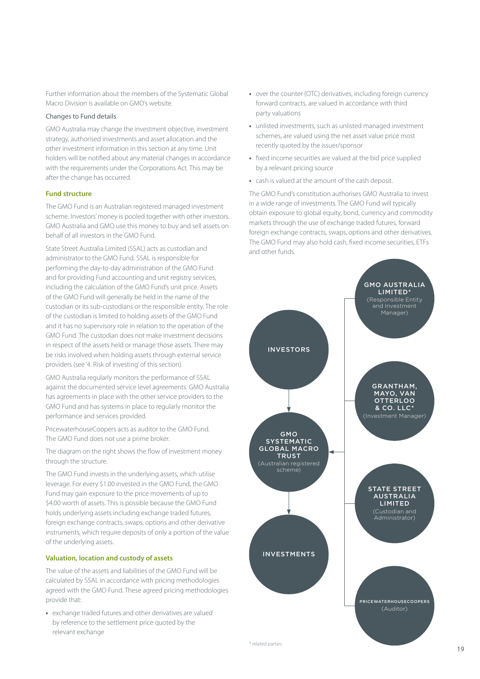Further information about the members of the Systematic Global Macro Division is available on GMO's website.

#### Changes to Fund details

GMO Australia may change the investment objective, investment strategy, authorised investments and asset allocation and the other investment information in this section at any time. Unit holders will be notified about any material changes in accordance with the requirements under the Corporations Act. This may be after the change has occurred.

#### **Fund structure**

The GMO Fund is an Australian registered managed investment scheme. Investors' money is pooled together with other investors. GMO Australia and GMO use this money to buy and sell assets on behalf of all investors in the GMO Fund.

State Street Australia Limited (SSAL) acts as custodian and administrator to the GMO Fund. SSAL is responsible for performing the day-to-day administration of the GMO Fund and for providing Fund accounting and unit registry services, including the calculation of the GMO Fund's unit price. Assets of the GMO Fund will generally be held in the name of the custodian or its sub-custodians or the responsible entity. The role of the custodian is limited to holding assets of the GMO Fund and it has no supervisory role in relation to the operation of the GMO Fund. The custodian does not make investment decisions in respect of the assets held or manage those assets. There may be risks involved when holding assets through external service providers (see '4. Risk of investing' of this section).

GMO Australia regularly monitors the performance of SSAL against the documented service level agreements. GMO Australia has agreements in place with the other service providers to the GMO Fund and has systems in place to regularly monitor the performance and services provided.

PricewaterhouseCoopers acts as auditor to the GMO Fund. The GMO Fund does not use a prime broker.

The diagram on the right shows the flow of investment money through the structure.

The GMO Fund invests in the underlying assets, which utilise leverage. For every \$1.00 invested in the GMO Fund, the GMO Fund may gain exposure to the price movements of up to \$4.00 worth of assets. This is possible because the GMO Fund holds underlying assets including exchange traded futures, foreign exchange contracts, swaps, options and other derivative instruments, which require deposits of only a portion of the value of the underlying assets.

#### **Valuation, location and custody of assets**

The value of the assets and liabilities of the GMO Fund will be calculated by SSAL in accordance with pricing methodologies agreed with the GMO Fund. These agreed pricing methodologies provide that:

**•** exchange traded futures and other derivatives are valued by reference to the settlement price quoted by the relevant exchange

- **•** over the counter (OTC) derivatives, including foreign currency forward contracts, are valued in accordance with third party valuations
- **•** unlisted investments, such as unlisted managed investment schemes, are valued using the net asset value price most recently quoted by the issuer/sponsor
- **•** fixed income securities are valued at the bid price supplied by a relevant pricing source
- **•** cash is valued at the amount of the cash deposit.

The GMO Fund's constitution authorises GMO Australia to invest in a wide range of investments. The GMO Fund will typically obtain exposure to global equity, bond, currency and commodity markets through the use of exchange traded futures, forward foreign exchange contracts, swaps, options and other derivatives. The GMO Fund may also hold cash, fixed income securities, ETFs and other funds.

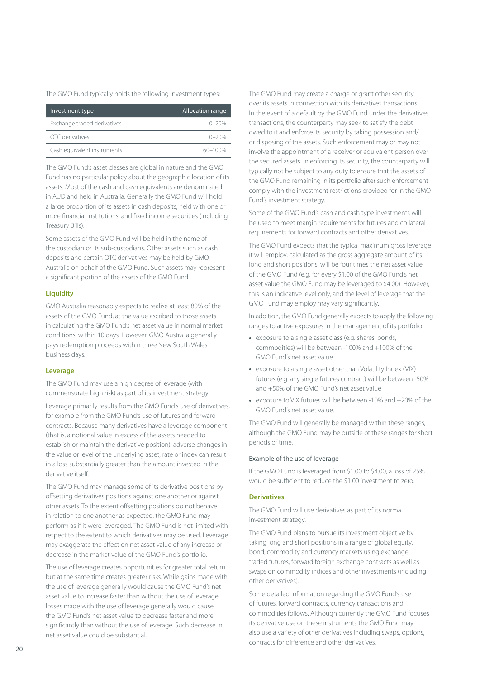The GMO Fund typically holds the following investment types:

| Investment type             | Allocation range |
|-----------------------------|------------------|
| Exchange traded derivatives | $0 - 20%$        |
| OTC derivatives             | $0 - 20%$        |
| Cash equivalent instruments | 60-100%          |

The GMO Fund's asset classes are global in nature and the GMO Fund has no particular policy about the geographic location of its assets. Most of the cash and cash equivalents are denominated in AUD and held in Australia. Generally the GMO Fund will hold a large proportion of its assets in cash deposits, held with one or more financial institutions, and fixed income securities (including Treasury Bills).

Some assets of the GMO Fund will be held in the name of the custodian or its sub-custodians. Other assets such as cash deposits and certain OTC derivatives may be held by GMO Australia on behalf of the GMO Fund. Such assets may represent a significant portion of the assets of the GMO Fund.

#### **Liquidity**

GMO Australia reasonably expects to realise at least 80% of the assets of the GMO Fund, at the value ascribed to those assets in calculating the GMO Fund's net asset value in normal market conditions, within 10 days. However, GMO Australia generally pays redemption proceeds within three New South Wales business days.

#### **Leverage**

The GMO Fund may use a high degree of leverage (with commensurate high risk) as part of its investment strategy.

Leverage primarily results from the GMO Fund's use of derivatives, for example from the GMO Fund's use of futures and forward contracts. Because many derivatives have a leverage component (that is, a notional value in excess of the assets needed to establish or maintain the derivative position), adverse changes in the value or level of the underlying asset, rate or index can result in a loss substantially greater than the amount invested in the derivative itself.

The GMO Fund may manage some of its derivative positions by offsetting derivatives positions against one another or against other assets. To the extent offsetting positions do not behave in relation to one another as expected, the GMO Fund may perform as if it were leveraged. The GMO Fund is not limited with respect to the extent to which derivatives may be used. Leverage may exaggerate the effect on net asset value of any increase or decrease in the market value of the GMO Fund's portfolio.

The use of leverage creates opportunities for greater total return but at the same time creates greater risks. While gains made with the use of leverage generally would cause the GMO Fund's net asset value to increase faster than without the use of leverage, losses made with the use of leverage generally would cause the GMO Fund's net asset value to decrease faster and more significantly than without the use of leverage. Such decrease in net asset value could be substantial.

The GMO Fund may create a charge or grant other security over its assets in connection with its derivatives transactions. In the event of a default by the GMO Fund under the derivatives transactions, the counterparty may seek to satisfy the debt owed to it and enforce its security by taking possession and/ or disposing of the assets. Such enforcement may or may not involve the appointment of a receiver or equivalent person over the secured assets. In enforcing its security, the counterparty will typically not be subject to any duty to ensure that the assets of the GMO Fund remaining in its portfolio after such enforcement comply with the investment restrictions provided for in the GMO Fund's investment strategy.

Some of the GMO Fund's cash and cash type investments will be used to meet margin requirements for futures and collateral requirements for forward contracts and other derivatives.

The GMO Fund expects that the typical maximum gross leverage it will employ, calculated as the gross aggregate amount of its long and short positions, will be four times the net asset value of the GMO Fund (e.g. for every \$1.00 of the GMO Fund's net asset value the GMO Fund may be leveraged to \$4.00). However, this is an indicative level only, and the level of leverage that the GMO Fund may employ may vary significantly.

In addition, the GMO Fund generally expects to apply the following ranges to active exposures in the management of its portfolio:

- **•** exposure to a single asset class (e.g. shares, bonds, commodities) will be between -100% and +100% of the GMO Fund's net asset value
- **•** exposure to a single asset other than Volatility Index (VIX) futures (e.g. any single futures contract) will be between -50% and +50% of the GMO Fund's net asset value
- **•** exposure to VIX futures will be between -10% and +20% of the GMO Fund's net asset value.

The GMO Fund will generally be managed within these ranges, although the GMO Fund may be outside of these ranges for short periods of time.

#### Example of the use of leverage

If the GMO Fund is leveraged from \$1.00 to \$4.00, a loss of 25% would be sufficient to reduce the \$1.00 investment to zero.

#### **Derivatives**

The GMO Fund will use derivatives as part of its normal investment strategy.

The GMO Fund plans to pursue its investment objective by taking long and short positions in a range of global equity, bond, commodity and currency markets using exchange traded futures, forward foreign exchange contracts as well as swaps on commodity indices and other investments (including other derivatives).

Some detailed information regarding the GMO Fund's use of futures, forward contracts, currency transactions and commodities follows. Although currently the GMO Fund focuses its derivative use on these instruments the GMO Fund may also use a variety of other derivatives including swaps, options, contracts for difference and other derivatives.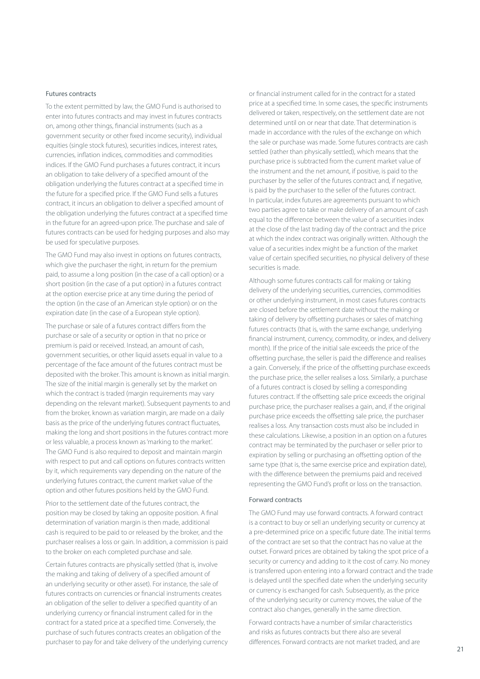#### Futures contracts

To the extent permitted by law, the GMO Fund is authorised to enter into futures contracts and may invest in futures contracts on, among other things, financial instruments (such as a government security or other fixed income security), individual equities (single stock futures), securities indices, interest rates, currencies, inflation indices, commodities and commodities indices. If the GMO Fund purchases a futures contract, it incurs an obligation to take delivery of a specified amount of the obligation underlying the futures contract at a specified time in the future for a specified price. If the GMO Fund sells a futures contract, it incurs an obligation to deliver a specified amount of the obligation underlying the futures contract at a specified time in the future for an agreed-upon price. The purchase and sale of futures contracts can be used for hedging purposes and also may be used for speculative purposes.

The GMO Fund may also invest in options on futures contracts, which give the purchaser the right, in return for the premium paid, to assume a long position (in the case of a call option) or a short position (in the case of a put option) in a futures contract at the option exercise price at any time during the period of the option (in the case of an American style option) or on the expiration date (in the case of a European style option).

The purchase or sale of a futures contract differs from the purchase or sale of a security or option in that no price or premium is paid or received. Instead, an amount of cash, government securities, or other liquid assets equal in value to a percentage of the face amount of the futures contract must be deposited with the broker. This amount is known as initial margin. The size of the initial margin is generally set by the market on which the contract is traded (margin requirements may vary depending on the relevant market). Subsequent payments to and from the broker, known as variation margin, are made on a daily basis as the price of the underlying futures contract fluctuates, making the long and short positions in the futures contract more or less valuable, a process known as 'marking to the market'. The GMO Fund is also required to deposit and maintain margin with respect to put and call options on futures contracts written by it, which requirements vary depending on the nature of the underlying futures contract, the current market value of the option and other futures positions held by the GMO Fund.

Prior to the settlement date of the futures contract, the position may be closed by taking an opposite position. A final determination of variation margin is then made, additional cash is required to be paid to or released by the broker, and the purchaser realises a loss or gain. In addition, a commission is paid to the broker on each completed purchase and sale.

Certain futures contracts are physically settled (that is, involve the making and taking of delivery of a specified amount of an underlying security or other asset). For instance, the sale of futures contracts on currencies or financial instruments creates an obligation of the seller to deliver a specified quantity of an underlying currency or financial instrument called for in the contract for a stated price at a specified time. Conversely, the purchase of such futures contracts creates an obligation of the purchaser to pay for and take delivery of the underlying currency or financial instrument called for in the contract for a stated price at a specified time. In some cases, the specific instruments delivered or taken, respectively, on the settlement date are not determined until on or near that date. That determination is made in accordance with the rules of the exchange on which the sale or purchase was made. Some futures contracts are cash settled (rather than physically settled), which means that the purchase price is subtracted from the current market value of the instrument and the net amount, if positive, is paid to the purchaser by the seller of the futures contract and, if negative, is paid by the purchaser to the seller of the futures contract. In particular, index futures are agreements pursuant to which two parties agree to take or make delivery of an amount of cash equal to the difference between the value of a securities index at the close of the last trading day of the contract and the price at which the index contract was originally written. Although the value of a securities index might be a function of the market value of certain specified securities, no physical delivery of these securities is made.

Although some futures contracts call for making or taking delivery of the underlying securities, currencies, commodities or other underlying instrument, in most cases futures contracts are closed before the settlement date without the making or taking of delivery by offsetting purchases or sales of matching futures contracts (that is, with the same exchange, underlying financial instrument, currency, commodity, or index, and delivery month). If the price of the initial sale exceeds the price of the offsetting purchase, the seller is paid the difference and realises a gain. Conversely, if the price of the offsetting purchase exceeds the purchase price, the seller realises a loss. Similarly, a purchase of a futures contract is closed by selling a corresponding futures contract. If the offsetting sale price exceeds the original purchase price, the purchaser realises a gain, and, if the original purchase price exceeds the offsetting sale price, the purchaser realises a loss. Any transaction costs must also be included in these calculations. Likewise, a position in an option on a futures contract may be terminated by the purchaser or seller prior to expiration by selling or purchasing an offsetting option of the same type (that is, the same exercise price and expiration date), with the difference between the premiums paid and received representing the GMO Fund's profit or loss on the transaction.

#### Forward contracts

The GMO Fund may use forward contracts. A forward contract is a contract to buy or sell an underlying security or currency at a pre-determined price on a specific future date. The initial terms of the contract are set so that the contract has no value at the outset. Forward prices are obtained by taking the spot price of a security or currency and adding to it the cost of carry. No money is transferred upon entering into a forward contract and the trade is delayed until the specified date when the underlying security or currency is exchanged for cash. Subsequently, as the price of the underlying security or currency moves, the value of the contract also changes, generally in the same direction.

Forward contracts have a number of similar characteristics and risks as futures contracts but there also are several differences. Forward contracts are not market traded, and are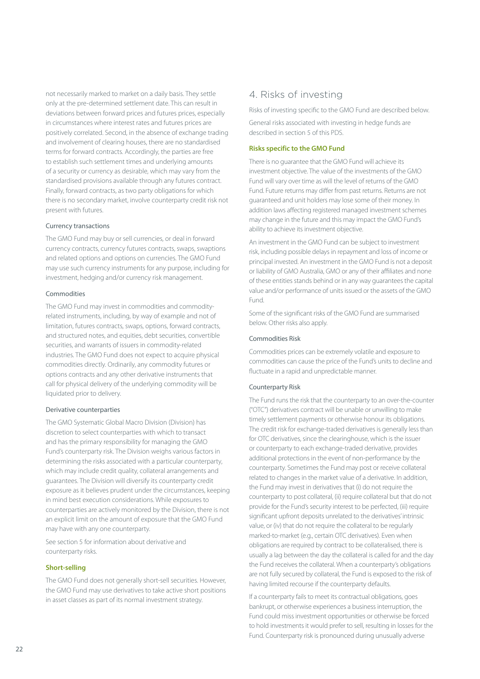not necessarily marked to market on a daily basis. They settle only at the pre-determined settlement date. This can result in deviations between forward prices and futures prices, especially in circumstances where interest rates and futures prices are positively correlated. Second, in the absence of exchange trading and involvement of clearing houses, there are no standardised terms for forward contracts. Accordingly, the parties are free to establish such settlement times and underlying amounts of a security or currency as desirable, which may vary from the standardised provisions available through any futures contract. Finally, forward contracts, as two party obligations for which there is no secondary market, involve counterparty credit risk not present with futures.

#### Currency transactions

The GMO Fund may buy or sell currencies, or deal in forward currency contracts, currency futures contracts, swaps, swaptions and related options and options on currencies. The GMO Fund may use such currency instruments for any purpose, including for investment, hedging and/or currency risk management.

#### Commodities

The GMO Fund may invest in commodities and commodityrelated instruments, including, by way of example and not of limitation, futures contracts, swaps, options, forward contracts, and structured notes, and equities, debt securities, convertible securities, and warrants of issuers in commodity-related industries. The GMO Fund does not expect to acquire physical commodities directly. Ordinarily, any commodity futures or options contracts and any other derivative instruments that call for physical delivery of the underlying commodity will be liquidated prior to delivery.

#### Derivative counterparties

The GMO Systematic Global Macro Division (Division) has discretion to select counterparties with which to transact and has the primary responsibility for managing the GMO Fund's counterparty risk. The Division weighs various factors in determining the risks associated with a particular counterparty, which may include credit quality, collateral arrangements and guarantees. The Division will diversify its counterparty credit exposure as it believes prudent under the circumstances, keeping in mind best execution considerations. While exposures to counterparties are actively monitored by the Division, there is not an explicit limit on the amount of exposure that the GMO Fund may have with any one counterparty.

See section 5 for information about derivative and counterparty risks.

#### **Short-selling**

The GMO Fund does not generally short-sell securities. However, the GMO Fund may use derivatives to take active short positions in asset classes as part of its normal investment strategy.

### <span id="page-23-0"></span>4. Risks of investing

Risks of investing specific to the GMO Fund are described below.

General risks associated with investing in hedge funds are described in section 5 of this PDS.

#### **Risks specific to the GMO Fund**

There is no guarantee that the GMO Fund will achieve its investment objective. The value of the investments of the GMO Fund will vary over time as will the level of returns of the GMO Fund. Future returns may differ from past returns. Returns are not guaranteed and unit holders may lose some of their money. In addition laws affecting registered managed investment schemes may change in the future and this may impact the GMO Fund's ability to achieve its investment objective.

An investment in the GMO Fund can be subject to investment risk, including possible delays in repayment and loss of income or principal invested. An investment in the GMO Fund is not a deposit or liability of GMO Australia, GMO or any of their affiliates and none of these entities stands behind or in any way guarantees the capital value and/or performance of units issued or the assets of the GMO Fund.

Some of the significant risks of the GMO Fund are summarised below. Other risks also apply.

#### Commodities Risk

Commodities prices can be extremely volatile and exposure to commodities can cause the price of the Fund's units to decline and fluctuate in a rapid and unpredictable manner.

#### Counterparty Risk

The Fund runs the risk that the counterparty to an over-the-counter ("OTC") derivatives contract will be unable or unwilling to make timely settlement payments or otherwise honour its obligations. The credit risk for exchange-traded derivatives is generally less than for OTC derivatives, since the clearinghouse, which is the issuer or counterparty to each exchange-traded derivative, provides additional protections in the event of non-performance by the counterparty. Sometimes the Fund may post or receive collateral related to changes in the market value of a derivative. In addition, the Fund may invest in derivatives that (i) do not require the counterparty to post collateral, (ii) require collateral but that do not provide for the Fund's security interest to be perfected, (iii) require significant upfront deposits unrelated to the derivatives' intrinsic value, or (iv) that do not require the collateral to be regularly marked-to-market (e.g., certain OTC derivatives). Even when obligations are required by contract to be collateralised, there is usually a lag between the day the collateral is called for and the day the Fund receives the collateral. When a counterparty's obligations are not fully secured by collateral, the Fund is exposed to the risk of having limited recourse if the counterparty defaults.

If a counterparty fails to meet its contractual obligations, goes bankrupt, or otherwise experiences a business interruption, the Fund could miss investment opportunities or otherwise be forced to hold investments it would prefer to sell, resulting in losses for the Fund. Counterparty risk is pronounced during unusually adverse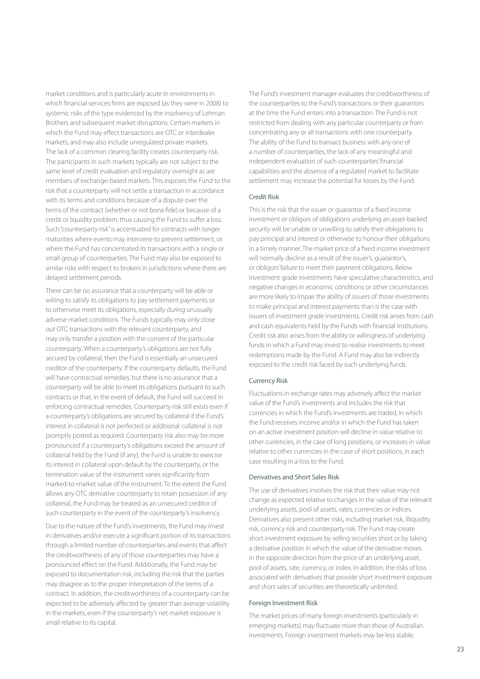market conditions and is particularly acute in environments in which financial services firms are exposed (as they were in 2008) to systemic risks of the type evidenced by the insolvency of Lehman Brothers and subsequent market disruptions. Certain markets in which the Fund may effect transactions are OTC or interdealer markets, and may also include unregulated private markets. The lack of a common clearing facility creates counterparty risk. The participants in such markets typically are not subject to the same level of credit evaluation and regulatory oversight as are members of exchange-based markets. This exposes the Fund to the risk that a counterparty will not settle a transaction in accordance with its terms and conditions because of a dispute over the terms of the contract (whether or not bona fide) or because of a credit or liquidity problem, thus causing the Fund to suffer a loss. Such "counterparty risk" is accentuated for contracts with longer maturities where events may intervene to prevent settlement, or where the Fund has concentrated its transactions with a single or small group of counterparties. The Fund may also be exposed to similar risks with respect to brokers in jurisdictions where there are delayed settlement periods.

There can be no assurance that a counterparty will be able or willing to satisfy its obligations to pay settlement payments or to otherwise meet its obligations, especially during unusually adverse market conditions. The Funds typically may only close out OTC transactions with the relevant counterparty, and may only transfer a position with the consent of the particular counterparty. When a counterparty's obligations are not fully secured by collateral, then the Fund is essentially an unsecured creditor of the counterparty. If the counterparty defaults, the Fund will have contractual remedies, but there is no assurance that a counterparty will be able to meet its obligations pursuant to such contracts or that, in the event of default, the Fund will succeed in enforcing contractual remedies. Counterparty risk still exists even if a counterparty's obligations are secured by collateral if the Fund's interest in collateral is not perfected or additional collateral is not promptly posted as required. Counterparty risk also may be more pronounced if a counterparty's obligations exceed the amount of collateral held by the Fund (if any), the Fund is unable to exercise its interest in collateral upon default by the counterparty, or the termination value of the instrument varies significantly from marked-to-market value of the instrument. To the extent the Fund allows any OTC derivative counterparty to retain possession of any collateral, the Fund may be treated as an unsecured creditor of such counterparty in the event of the counterparty's insolvency.

Due to the nature of the Fund's investments, the Fund may invest in derivatives and/or execute a significant portion of its transactions through a limited number of counterparties and events that affect the creditworthiness of any of those counterparties may have a pronounced effect on the Fund. Additionally, the Fund may be exposed to documentation risk, including the risk that the parties may disagree as to the proper interpretation of the terms of a contract. In addition, the creditworthiness of a counterparty can be expected to be adversely affected by greater than average volatility in the markets, even if the counterparty's net market exposure is small relative to its capital.

The Fund's investment manager evaluates the creditworthiness of the counterparties to the Fund's transactions or their guarantors at the time the Fund enters into a transaction. The Fund is not restricted from dealing with any particular counterparty or from concentrating any or all transactions with one counterparty. The ability of the Fund to transact business with any one of a number of counterparties, the lack of any meaningful and independent evaluation of such counterparties' financial capabilities and the absence of a regulated market to facilitate settlement may increase the potential for losses by the Fund.

#### Credit Risk

This is the risk that the issuer or guarantor of a fixed income investment or obligors of obligations underlying an asset-backed security will be unable or unwilling to satisfy their obligations to pay principal and interest or otherwise to honour their obligations in a timely manner. The market price of a fixed income investment will normally decline as a result of the issuer's, guarantor's, or obligors' failure to meet their payment obligations. Below investment grade investments have speculative characteristics, and negative changes in economic conditions or other circumstances are more likely to impair the ability of issuers of those investments to make principal and interest payments than is the case with issuers of investment grade investments. Credit risk arises from cash and cash equivalents held by the Funds with financial institutions. Credit risk also arises from the ability or willingness of underlying funds in which a Fund may invest to realise investments to meet redemptions made by the Fund. A Fund may also be indirectly exposed to the credit risk faced by such underlying funds.

#### Currency Risk

Fluctuations in exchange rates may adversely affect the market value of the Fund's investments and includes the risk that currencies in which the Fund's investments are traded, in which the Fund receives income and/or in which the Fund has taken on an active investment position will decline in value relative to other currencies, in the case of long positions, or increases in value relative to other currencies in the case of short positions, in each case resulting in a loss to the Fund.

#### Derivatives and Short Sales Risk

The use of derivatives involves the risk that their value may not change as expected relative to changes in the value of the relevant underlying assets, pool of assets, rates, currencies or indices. Derivatives also present other risks, including market risk, illiquidity risk, currency risk and counterparty risk. The Fund may create short investment exposure by selling securities short or by taking a derivative position in which the value of the derivative moves in the opposite direction from the price of an underlying asset, pool of assets, rate, currency, or index. In addition, the risks of loss associated with derivatives that provide short investment exposure and short sales of securities are theoretically unlimited.

#### Foreign Investment Risk

The market prices of many foreign investments (particularly in emerging markets) may fluctuate more than those of Australian investments. Foreign investment markets may be less stable,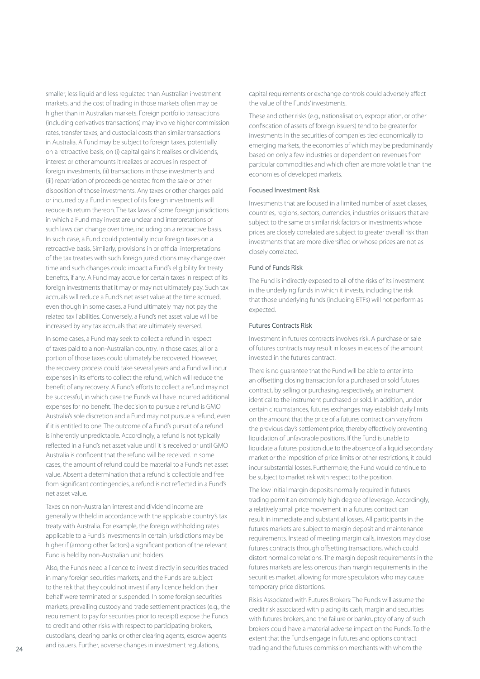smaller, less liquid and less regulated than Australian investment markets, and the cost of trading in those markets often may be higher than in Australian markets. Foreign portfolio transactions (including derivatives transactions) may involve higher commission rates, transfer taxes, and custodial costs than similar transactions in Australia. A Fund may be subject to foreign taxes, potentially on a retroactive basis, on (i) capital gains it realises or dividends, interest or other amounts it realizes or accrues in respect of foreign investments, (ii) transactions in those investments and (iii) repatriation of proceeds generated from the sale or other disposition of those investments. Any taxes or other charges paid or incurred by a Fund in respect of its foreign investments will reduce its return thereon. The tax laws of some foreign jurisdictions in which a Fund may invest are unclear and interpretations of such laws can change over time, including on a retroactive basis. In such case, a Fund could potentially incur foreign taxes on a retroactive basis. Similarly, provisions in or official interpretations of the tax treaties with such foreign jurisdictions may change over time and such changes could impact a Fund's eligibility for treaty benefits, if any. A Fund may accrue for certain taxes in respect of its foreign investments that it may or may not ultimately pay. Such tax accruals will reduce a Fund's net asset value at the time accrued, even though in some cases, a Fund ultimately may not pay the related tax liabilities. Conversely, a Fund's net asset value will be increased by any tax accruals that are ultimately reversed.

In some cases, a Fund may seek to collect a refund in respect of taxes paid to a non-Australian country. In those cases, all or a portion of those taxes could ultimately be recovered. However, the recovery process could take several years and a Fund will incur expenses in its efforts to collect the refund, which will reduce the benefit of any recovery. A Fund's efforts to collect a refund may not be successful, in which case the Funds will have incurred additional expenses for no benefit. The decision to pursue a refund is GMO Australia's sole discretion and a Fund may not pursue a refund, even if it is entitled to one. The outcome of a Fund's pursuit of a refund is inherently unpredictable. Accordingly, a refund is not typically reflected in a Fund's net asset value until it is received or until GMO Australia is confident that the refund will be received. In some cases, the amount of refund could be material to a Fund's net asset value. Absent a determination that a refund is collectible and free from significant contingencies, a refund is not reflected in a Fund's net asset value.

Taxes on non-Australian interest and dividend income are generally withheld in accordance with the applicable country's tax treaty with Australia. For example, the foreign withholding rates applicable to a Fund's investments in certain jurisdictions may be higher if (among other factors) a significant portion of the relevant Fund is held by non-Australian unit holders.

Also, the Funds need a licence to invest directly in securities traded in many foreign securities markets, and the Funds are subject to the risk that they could not invest if any licence held on their behalf were terminated or suspended. In some foreign securities markets, prevailing custody and trade settlement practices (e.g., the requirement to pay for securities prior to receipt) expose the Funds to credit and other risks with respect to participating brokers, custodians, clearing banks or other clearing agents, escrow agents and issuers. Further, adverse changes in investment regulations,

capital requirements or exchange controls could adversely affect the value of the Funds' investments.

These and other risks (e.g., nationalisation, expropriation, or other confiscation of assets of foreign issuers) tend to be greater for investments in the securities of companies tied economically to emerging markets, the economies of which may be predominantly based on only a few industries or dependent on revenues from particular commodities and which often are more volatile than the economies of developed markets.

#### Focused Investment Risk

Investments that are focused in a limited number of asset classes, countries, regions, sectors, currencies, industries or issuers that are subject to the same or similar risk factors or investments whose prices are closely correlated are subject to greater overall risk than investments that are more diversified or whose prices are not as closely correlated.

#### Fund of Funds Risk

The Fund is indirectly exposed to all of the risks of its investment in the underlying funds in which it invests, including the risk that those underlying funds (including ETFs) will not perform as expected.

#### Futures Contracts Risk

Investment in futures contracts involves risk. A purchase or sale of futures contracts may result in losses in excess of the amount invested in the futures contract.

There is no guarantee that the Fund will be able to enter into an offsetting closing transaction for a purchased or sold futures contract, by selling or purchasing, respectively, an instrument identical to the instrument purchased or sold. In addition, under certain circumstances, futures exchanges may establish daily limits on the amount that the price of a futures contract can vary from the previous day's settlement price, thereby effectively preventing liquidation of unfavorable positions. If the Fund is unable to liquidate a futures position due to the absence of a liquid secondary market or the imposition of price limits or other restrictions, it could incur substantial losses. Furthermore, the Fund would continue to be subject to market risk with respect to the position.

The low initial margin deposits normally required in futures trading permit an extremely high degree of leverage. Accordingly, a relatively small price movement in a futures contract can result in immediate and substantial losses. All participants in the futures markets are subject to margin deposit and maintenance requirements. Instead of meeting margin calls, investors may close futures contracts through offsetting transactions, which could distort normal correlations. The margin deposit requirements in the futures markets are less onerous than margin requirements in the securities market, allowing for more speculators who may cause temporary price distortions.

Risks Associated with Futures Brokers: The Funds will assume the credit risk associated with placing its cash, margin and securities with futures brokers, and the failure or bankruptcy of any of such brokers could have a material adverse impact on the Funds. To the extent that the Funds engage in futures and options contract trading and the futures commission merchants with whom the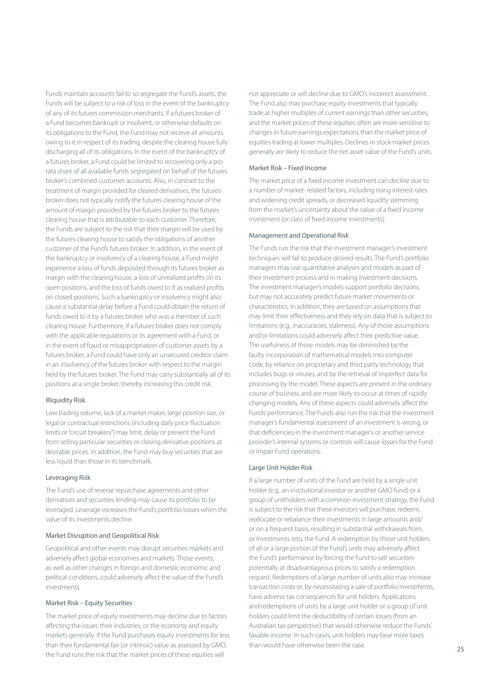Funds maintain accounts fail to so segregate the Fund's assets, the Funds will be subject to a risk of loss in the event of the bankruptcy of any of its futures commission merchants. If a futures broker of a Fund becomes bankrupt or insolvent, or otherwise defaults on its obligations to the Fund, the Fund may not receive all amounts owing to it in respect of its trading, despite the clearing house fully discharging all of its obligations. In the event of the bankruptcy of a futures broker, a Fund could be limited to recovering only a pro rata share of all available funds segregated on behalf of the futures broker's combined customer accounts. Also, in contrast to the treatment of margin provided for cleared derivatives, the futures broker does not typically notify the futures clearing house of the amount of margin provided by the futures broker to the futures clearing house that is attributable to each customer. Therefore, the Funds are subject to the risk that their margin will be used by the futures clearing house to satisfy the obligations of another customer of the Fund's futures broker. In addition, in the event of the bankruptcy or insolvency of a clearing house, a Fund might experience a loss of funds deposited through its futures broker as margin with the clearing house, a loss of unrealized profits on its open positions, and the loss of funds owed to it as realized profits on closed positions. Such a bankruptcy or insolvency might also cause a substantial delay before a Fund could obtain the return of funds owed to it by a futures broker who was a member of such clearing house. Furthermore, if a futures broker does not comply with the applicable regulations or its agreement with a Fund, or in the event of fraud or misappropriation of customer assets by a futures broker, a Fund could have only an unsecured creditor claim in an insolvency of the futures broker with respect to the margin held by the futures broker. The Fund may carry substantially all of its positions at a single broker, thereby increasing this credit risk.

#### Illiquidity Risk

Low trading volume, lack of a market maker, large position size, or legal or contractual restrictions (including daily price fluctuation limits or "circuit breakers") may limit, delay or prevent the Fund from selling particular securities or closing derivative positions at desirable prices. In addition, the Fund may buy securities that are less liquid than those in its benchmark.

#### Leveraging Risk

The Fund's use of reverse repurchase agreements and other derivatives and securities lending may cause its portfolio to be leveraged. Leverage increases the Fund's portfolio losses when the value of its investments decline.

#### Market Disruption and Geopolitical Risk

Geopolitical and other events may disrupt securities markets and adversely affect global economies and markets. Those events, as well as other changes in foreign and domestic economic and political conditions, could adversely affect the value of the Fund's investments.

#### Market Risk – Equity Securities

The market price of equity investments may decline due to factors affecting the issuer, their industries, or the economy and equity markets generally. If the Fund purchases equity investments for less than their fundamental fair (or intrinsic) value as assessed by GMO, the Fund runs the risk that the market prices of these equities will

not appreciate or will decline due to GMO's incorrect assessment. The Fund also may purchase equity investments that typically trade at higher multiples of current earnings than other securities, and the market prices of these equities often are more sensitive to changes in future earnings expectations than the market price of equities trading at lower multiples. Declines in stock market prices generally are likely to reduce the net asset value of the Fund's units.

#### Market Risk – Fixed Income

The market price of a fixed income investment can decline due to a number of market- related factors, including rising interest rates and widening credit spreads, or decreased liquidity stemming from the market's uncertainty about the value of a fixed income investment (or class of fixed income investments).

#### Management and Operational Risk

The Funds run the risk that the investment manager's investment techniques will fail to produce desired results. The Fund's portfolio managers may use quantitative analyses and models as part of their investment process and in making investment decisions. The investment manager's models support portfolio decisions but may not accurately predict future market movements or characteristics. In addition, they are based on assumptions that may limit their effectiveness and they rely on data that is subject to limitations (e.g., inaccuracies, staleness). Any of those assumptions and/or limitations could adversely affect their predictive value. The usefulness of those models may be diminished by the faulty incorporation of mathematical models into computer code, by reliance on proprietary and third party technology that includes bugs or viruses, and by the retrieval of imperfect data for processing by the model. These aspects are present in the ordinary course of business and are more likely to occur at times of rapidly changing models. Any of these aspects could adversely affect the Funds' performance. The Funds also run the risk that the investment manager's fundamental assessment of an investment is wrong, or that deficiencies in the investment manager's or another service provider's internal systems or controls will cause losses for the Fund or impair Fund operations.

#### Large Unit Holder Risk

If a large number of units of the Fund are held by a single unit holder (e.g., an institutional investor or another GMO fund) or a group of unitholders with a common investment strategy, the Fund is subject to the risk that these investors will purchase, redeem, reallocate or rebalance their investments in large amounts and/ or on a frequent basis, resulting in substantial withdrawals from, or investments into, the Fund. A redemption by those unit holders of all or a large portion of the Fund's units may adversely affect the Fund's performance by forcing the Fund to sell securities potentially at disadvantageous prices to satisfy a redemption request. Redemptions of a large number of units also may increase transaction costs or, by necessitating a sale of portfolio investments, have adverse tax consequences for unit holders. Applications and redemptions of units by a large unit holder or a group of unit holders could limit the deductibility of certain losses (from an Australian tax perspective) that would otherwise reduce the Funds' taxable income. In such cases, unit holders may bear more taxes than would have otherwise been the case.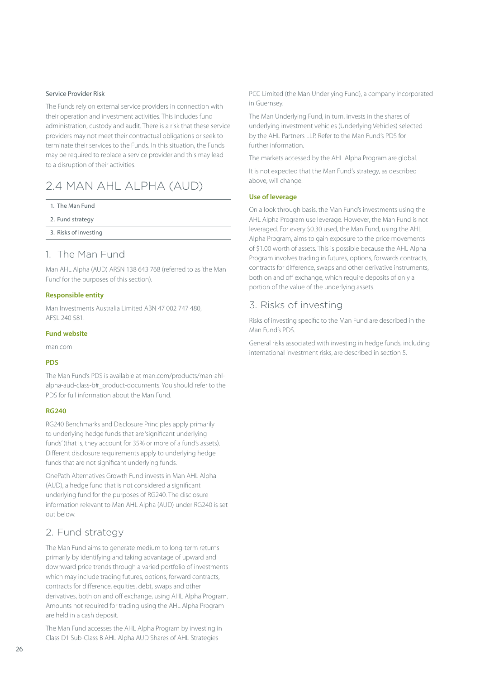#### <span id="page-27-0"></span>Service Provider Risk

The Funds rely on external service providers in connection with their operation and investment activities. This includes fund administration, custody and audit. There is a risk that these service providers may not meet their contractual obligations or seek to terminate their services to the Funds. In this situation, the Funds may be required to replace a service provider and this may lead to a disruption of their activities.

# 2.4 MAN AHL ALPHA (AUD)

|  |  | 1. The Man Fund |  |
|--|--|-----------------|--|
|  |  |                 |  |

2. [Fund strategy](#page-27-2)

3. [Risks of investing](#page-27-3)

### <span id="page-27-1"></span>1. The Man Fund

Man AHL Alpha (AUD) ARSN 138 643 768 (referred to as 'the Man Fund' for the purposes of this section).

#### **Responsible entity**

Man Investments Australia Limited ABN 47 002 747 480, AFSL 240 581.

#### **Fund website**

[man.com](http://man.com)

#### **PDS**

The Man Fund's PDS is available at [man.com/products/man-ahl](http://man.com/products/man-ahl-alpha-aud-class-b#_product-documents)[alpha-aud-class-b#\\_product-documents.](http://man.com/products/man-ahl-alpha-aud-class-b#_product-documents) You should refer to the PDS for full information about the Man Fund.

#### **RG240**

RG240 Benchmarks and Disclosure Principles apply primarily to underlying hedge funds that are 'significant underlying funds' (that is, they account for 35% or more of a fund's assets). Different disclosure requirements apply to underlying hedge funds that are not significant underlying funds.

OnePath Alternatives Growth Fund invests in Man AHL Alpha (AUD), a hedge fund that is not considered a significant underlying fund for the purposes of RG240. The disclosure information relevant to Man AHL Alpha (AUD) under RG240 is set out below.

## <span id="page-27-2"></span>2. Fund strategy

The Man Fund aims to generate medium to long-term returns primarily by identifying and taking advantage of upward and downward price trends through a varied portfolio of investments which may include trading futures, options, forward contracts, contracts for difference, equities, debt, swaps and other derivatives, both on and off exchange, using AHL Alpha Program. Amounts not required for trading using the AHL Alpha Program are held in a cash deposit.

The Man Fund accesses the AHL Alpha Program by investing in Class D1 Sub-Class B AHL Alpha AUD Shares of AHL Strategies

PCC Limited (the Man Underlying Fund), a company incorporated in Guernsey.

The Man Underlying Fund, in turn, invests in the shares of underlying investment vehicles (Underlying Vehicles) selected by the AHL Partners LLP. Refer to the Man Fund's PDS for further information.

The markets accessed by the AHL Alpha Program are global.

It is not expected that the Man Fund's strategy, as described above, will change.

#### **Use of leverage**

On a look through basis, the Man Fund's investments using the AHL Alpha Program use leverage. However, the Man Fund is not leveraged. For every \$0.30 used, the Man Fund, using the AHL Alpha Program, aims to gain exposure to the price movements of \$1.00 worth of assets. This is possible because the AHL Alpha Program involves trading in futures, options, forwards contracts, contracts for difference, swaps and other derivative instruments, both on and off exchange, which require deposits of only a portion of the value of the underlying assets.

### <span id="page-27-3"></span>3. Risks of investing

Risks of investing specific to the Man Fund are described in the Man Fund's PDS.

General risks associated with investing in hedge funds, including international investment risks, are described in section 5.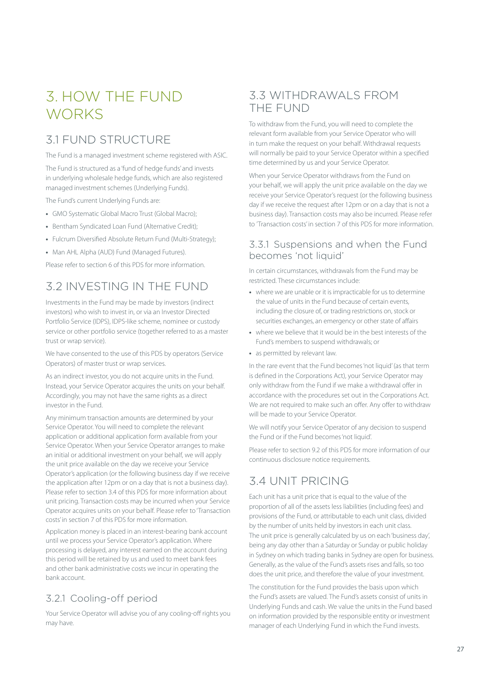# <span id="page-28-0"></span>3. HOW THE FUND **WORKS**

# 3.1 FUND STRUCTURE

The Fund is a managed investment scheme registered with ASIC.

The Fund is structured as a 'fund of hedge funds' and invests in underlying wholesale hedge funds, which are also registered managed investment schemes (Underlying Funds).

The Fund's current Underlying Funds are:

- **•** GMO Systematic Global Macro Trust (Global Macro);
- **•** Bentham Syndicated Loan Fund (Alternative Credit);
- **•** Fulcrum Diversified Absolute Return Fund (Multi-Strategy);
- **•** Man AHL Alpha (AUD) Fund (Managed Futures).

Please refer to section 6 of this PDS for more information.

# 3.2 INVESTING IN THE FUND

Investments in the Fund may be made by investors (indirect investors) who wish to invest in, or via an Investor Directed Portfolio Service (IDPS), IDPS-like scheme, nominee or custody service or other portfolio service (together referred to as a master trust or wrap service).

We have consented to the use of this PDS by operators (Service Operators) of master trust or wrap services.

As an indirect investor, you do not acquire units in the Fund. Instead, your Service Operator acquires the units on your behalf. Accordingly, you may not have the same rights as a direct investor in the Fund.

Any minimum transaction amounts are determined by your Service Operator. You will need to complete the relevant application or additional application form available from your Service Operator. When your Service Operator arranges to make an initial or additional investment on your behalf, we will apply the unit price available on the day we receive your Service Operator's application (or the following business day if we receive the application after 12pm or on a day that is not a business day). Please refer to section 3.4 of this PDS for more information about unit pricing. Transaction costs may be incurred when your Service Operator acquires units on your behalf. Please refer to 'Transaction costs' in section 7 of this PDS for more information.

Application money is placed in an interest-bearing bank account until we process your Service Operator's application. Where processing is delayed, any interest earned on the account during this period will be retained by us and used to meet bank fees and other bank administrative costs we incur in operating the bank account.

# 3.2.1 Cooling-off period

Your Service Operator will advise you of any cooling-off rights you may have.

# 3.3 WITHDRAWALS FROM THE FUND

To withdraw from the Fund, you will need to complete the relevant form available from your Service Operator who will in turn make the request on your behalf. Withdrawal requests will normally be paid to your Service Operator within a specified time determined by us and your Service Operator.

When your Service Operator withdraws from the Fund on your behalf, we will apply the unit price available on the day we receive your Service Operator's request (or the following business day if we receive the request after 12pm or on a day that is not a business day). Transaction costs may also be incurred. Please refer to 'Transaction costs' in section 7 of this PDS for more information.

### 3.3.1 Suspensions and when the Fund becomes 'not liquid'

In certain circumstances, withdrawals from the Fund may be restricted. These circumstances include:

- **•** where we are unable or it is impracticable for us to determine the value of units in the Fund because of certain events, including the closure of, or trading restrictions on, stock or securities exchanges, an emergency or other state of affairs
- **•** where we believe that it would be in the best interests of the Fund's members to suspend withdrawals; or
- **•** as permitted by relevant law.

In the rare event that the Fund becomes 'not liquid' (as that term is defined in the Corporations Act), your Service Operator may only withdraw from the Fund if we make a withdrawal offer in accordance with the procedures set out in the Corporations Act. We are not required to make such an offer. Any offer to withdraw will be made to your Service Operator.

We will notify your Service Operator of any decision to suspend the Fund or if the Fund becomes 'not liquid'.

Please refer to section 9.2 of this PDS for more information of our continuous disclosure notice requirements.

# 3.4 UNIT PRICING

Each unit has a unit price that is equal to the value of the proportion of all of the assets less liabilities (including fees) and provisions of the Fund, or attributable to each unit class, divided by the number of units held by investors in each unit class. The unit price is generally calculated by us on each 'business day', being any day other than a Saturday or Sunday or public holiday in Sydney on which trading banks in Sydney are open for business. Generally, as the value of the Fund's assets rises and falls, so too does the unit price, and therefore the value of your investment.

The constitution for the Fund provides the basis upon which the Fund's assets are valued. The Fund's assets consist of units in Underlying Funds and cash. We value the units in the Fund based on information provided by the responsible entity or investment manager of each Underlying Fund in which the Fund invests.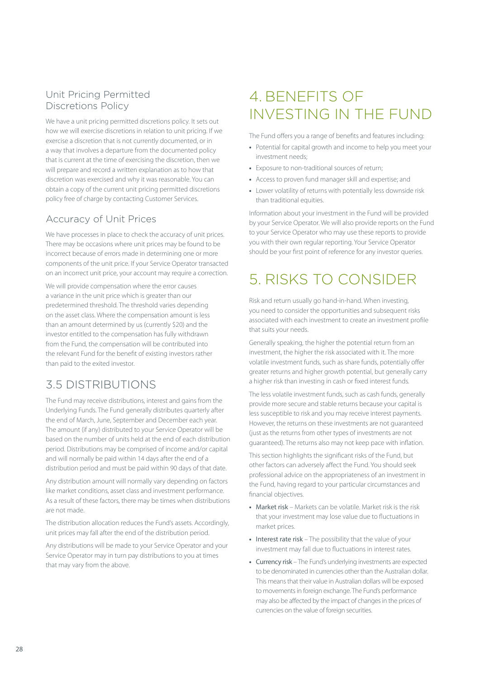# <span id="page-29-0"></span>Unit Pricing Permitted Discretions Policy

We have a unit pricing permitted discretions policy. It sets out how we will exercise discretions in relation to unit pricing. If we exercise a discretion that is not currently documented, or in a way that involves a departure from the documented policy that is current at the time of exercising the discretion, then we will prepare and record a written explanation as to how that discretion was exercised and why it was reasonable. You can obtain a copy of the current unit pricing permitted discretions policy free of charge by contacting Customer Services.

# Accuracy of Unit Prices

We have processes in place to check the accuracy of unit prices. There may be occasions where unit prices may be found to be incorrect because of errors made in determining one or more components of the unit price. If your Service Operator transacted on an incorrect unit price, your account may require a correction.

We will provide compensation where the error causes a variance in the unit price which is greater than our predetermined threshold. The threshold varies depending on the asset class. Where the compensation amount is less than an amount determined by us (currently \$20) and the investor entitled to the compensation has fully withdrawn from the Fund, the compensation will be contributed into the relevant Fund for the benefit of existing investors rather than paid to the exited investor.

# 3.5 DISTRIBUTIONS

The Fund may receive distributions, interest and gains from the Underlying Funds. The Fund generally distributes quarterly after the end of March, June, September and December each year. The amount (if any) distributed to your Service Operator will be based on the number of units held at the end of each distribution period. Distributions may be comprised of income and/or capital and will normally be paid within 14 days after the end of a distribution period and must be paid within 90 days of that date.

Any distribution amount will normally vary depending on factors like market conditions, asset class and investment performance. As a result of these factors, there may be times when distributions are not made.

The distribution allocation reduces the Fund's assets. Accordingly, unit prices may fall after the end of the distribution period.

Any distributions will be made to your Service Operator and your Service Operator may in turn pay distributions to you at times that may vary from the above.

# 4. BENEFITS OF INVESTING IN THE FUND

The Fund offers you a range of benefits and features including:

- **•** Potential for capital growth and income to help you meet your investment needs;
- **•** Exposure to non-traditional sources of return;
- **•** Access to proven fund manager skill and expertise; and
- **•** Lower volatility of returns with potentially less downside risk than traditional equities.

Information about your investment in the Fund will be provided by your Service Operator. We will also provide reports on the Fund to your Service Operator who may use these reports to provide you with their own regular reporting. Your Service Operator should be your first point of reference for any investor queries.

# 5. RISKS TO CONSIDER

Risk and return usually go hand-in-hand. When investing, you need to consider the opportunities and subsequent risks associated with each investment to create an investment profile that suits your needs.

Generally speaking, the higher the potential return from an investment, the higher the risk associated with it. The more volatile investment funds, such as share funds, potentially offer greater returns and higher growth potential, but generally carry a higher risk than investing in cash or fixed interest funds.

The less volatile investment funds, such as cash funds, generally provide more secure and stable returns because your capital is less susceptible to risk and you may receive interest payments. However, the returns on these investments are not guaranteed (just as the returns from other types of investments are not guaranteed). The returns also may not keep pace with inflation.

This section highlights the significant risks of the Fund, but other factors can adversely affect the Fund. You should seek professional advice on the appropriateness of an investment in the Fund, having regard to your particular circumstances and financial objectives.

- **•** Market risk Markets can be volatile. Market risk is the risk that your investment may lose value due to fluctuations in market prices.
- **•** Interest rate risk The possibility that the value of your investment may fall due to fluctuations in interest rates.
- **•** Currency risk The Fund's underlying investments are expected to be denominated in currencies other than the Australian dollar. This means that their value in Australian dollars will be exposed to movements in foreign exchange. The Fund's performance may also be affected by the impact of changes in the prices of currencies on the value of foreign securities.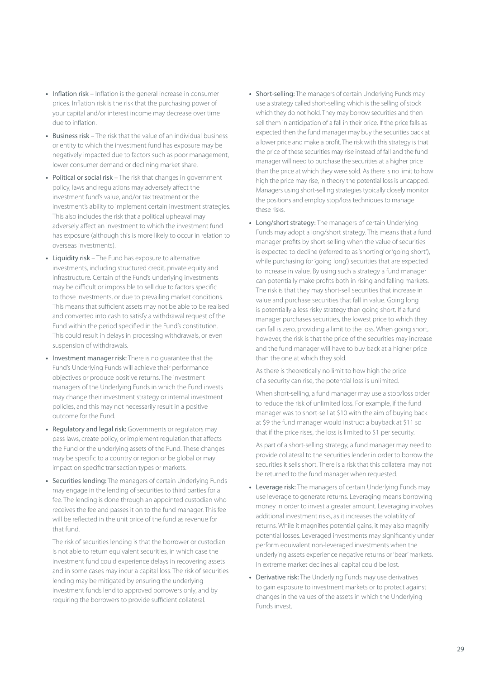- **•** Inflation risk Inflation is the general increase in consumer prices. Inflation risk is the risk that the purchasing power of your capital and/or interest income may decrease over time due to inflation.
- **•** Business risk The risk that the value of an individual business or entity to which the investment fund has exposure may be negatively impacted due to factors such as poor management, lower consumer demand or declining market share.
- **•** Political or social risk The risk that changes in government policy, laws and regulations may adversely affect the investment fund's value, and/or tax treatment or the investment's ability to implement certain investment strategies. This also includes the risk that a political upheaval may adversely affect an investment to which the investment fund has exposure (although this is more likely to occur in relation to overseas investments).
- **•** Liquidity risk The Fund has exposure to alternative investments, including structured credit, private equity and infrastructure. Certain of the Fund's underlying investments may be difficult or impossible to sell due to factors specific to those investments, or due to prevailing market conditions. This means that sufficient assets may not be able to be realised and converted into cash to satisfy a withdrawal request of the Fund within the period specified in the Fund's constitution. This could result in delays in processing withdrawals, or even suspension of withdrawals.
- **•** Investment manager risk: There is no guarantee that the Fund's Underlying Funds will achieve their performance objectives or produce positive returns. The investment managers of the Underlying Funds in which the Fund invests may change their investment strategy or internal investment policies, and this may not necessarily result in a positive outcome for the Fund.
- **•** Regulatory and legal risk: Governments or regulators may pass laws, create policy, or implement regulation that affects the Fund or the underlying assets of the Fund. These changes may be specific to a country or region or be global or may impact on specific transaction types or markets.
- **•** Securities lending: The managers of certain Underlying Funds may engage in the lending of securities to third parties for a fee. The lending is done through an appointed custodian who receives the fee and passes it on to the fund manager. This fee will be reflected in the unit price of the fund as revenue for that fund.

The risk of securities lending is that the borrower or custodian is not able to return equivalent securities, in which case the investment fund could experience delays in recovering assets and in some cases may incur a capital loss. The risk of securities lending may be mitigated by ensuring the underlying investment funds lend to approved borrowers only, and by requiring the borrowers to provide sufficient collateral.

- **•** Short-selling: The managers of certain Underlying Funds may use a strategy called short-selling which is the selling of stock which they do not hold. They may borrow securities and then sell them in anticipation of a fall in their price. If the price falls as expected then the fund manager may buy the securities back at a lower price and make a profit. The risk with this strategy is that the price of these securities may rise instead of fall and the fund manager will need to purchase the securities at a higher price than the price at which they were sold. As there is no limit to how high the price may rise, in theory the potential loss is uncapped. Managers using short-selling strategies typically closely monitor the positions and employ stop/loss techniques to manage these risks.
- **•** Long/short strategy: The managers of certain Underlying Funds may adopt a long/short strategy. This means that a fund manager profits by short-selling when the value of securities is expected to decline (referred to as 'shorting' or 'going short'), while purchasing (or 'going long') securities that are expected to increase in value. By using such a strategy a fund manager can potentially make profits both in rising and falling markets. The risk is that they may short-sell securities that increase in value and purchase securities that fall in value. Going long is potentially a less risky strategy than going short. If a fund manager purchases securities, the lowest price to which they can fall is zero, providing a limit to the loss. When going short, however, the risk is that the price of the securities may increase and the fund manager will have to buy back at a higher price than the one at which they sold.

As there is theoretically no limit to how high the price of a security can rise, the potential loss is unlimited.

When short-selling, a fund manager may use a stop/loss order to reduce the risk of unlimited loss. For example, if the fund manager was to short-sell at \$10 with the aim of buying back at \$9 the fund manager would instruct a buyback at \$11 so that if the price rises, the loss is limited to \$1 per security.

As part of a short-selling strategy, a fund manager may need to provide collateral to the securities lender in order to borrow the securities it sells short. There is a risk that this collateral may not be returned to the fund manager when requested.

- **•** Leverage risk: The managers of certain Underlying Funds may use leverage to generate returns. Leveraging means borrowing money in order to invest a greater amount. Leveraging involves additional investment risks, as it increases the volatility of returns. While it magnifies potential gains, it may also magnify potential losses. Leveraged investments may significantly under perform equivalent non-leveraged investments when the underlying assets experience negative returns or 'bear' markets. In extreme market declines all capital could be lost.
- **•** Derivative risk: The Underlying Funds may use derivatives to gain exposure to investment markets or to protect against changes in the values of the assets in which the Underlying Funds invest.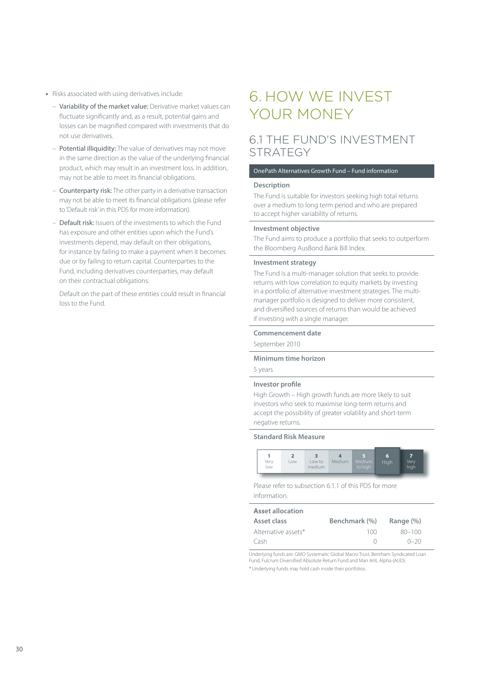- <span id="page-31-0"></span>**•** Risks associated with using derivatives include:
	- Variability of the market value: Derivative market values can fluctuate significantly and, as a result, potential gains and losses can be magnified compared with investments that do not use derivatives.
	- Potential illiquidity: The value of derivatives may not move in the same direction as the value of the underlying financial product, which may result in an investment loss. In addition, may not be able to meet its financial obligations.
	- Counterparty risk: The other party in a derivative transaction may not be able to meet its financial obligations (please refer to 'Default risk' in this PDS for more information).
	- Default risk: Issuers of the investments to which the Fund has exposure and other entities upon which the Fund's investments depend, may default on their obligations, for instance by failing to make a payment when it becomes due or by failing to return capital. Counterparties to the Fund, including derivatives counterparties, may default on their contractual obligations.

Default on the part of these entities could result in financial loss to the Fund.

# 6. HOW WE INVEST YOUR MONEY

# 6.1 THE FUND'S INVESTMENT **STRATEGY**

#### OnePath Alternatives Growth Fund – Fund information

#### **Description**

The Fund is suitable for investors seeking high total returns over a medium to long term period and who are prepared to accept higher variability of returns.

#### **Investment objective**

The Fund aims to produce a portfolio that seeks to outperform the Bloomberg AusBond Bank Bill Index.

#### **Investment strategy**

The Fund is a multi-manager solution that seeks to provide returns with low correlation to equity markets by investing in a portfolio of alternative investment strategies. The multimanager portfolio is designed to deliver more consistent, and diversified sources of returns than would be achieved if investing with a single manager.

#### **Commencement date**

September 2010

#### **Minimum time horizon**

5 years

#### **Investor profile**

High Growth – High growth funds are more likely to suit investors who seek to maximise long-term returns and accept the possibility of greater volatility and short-term negative returns.

#### **Standard Risk Measure**



Please refer to subsection 6.1.1 of this PDS for more information.

| <b>Asset allocation</b> |               |               |
|-------------------------|---------------|---------------|
| Asset class             | Benchmark (%) | Range $(\% )$ |
| Alternative assets*     | 100           | $80 - 100$    |
| Cash                    |               | $0 - 20$      |

Underlying funds are: GMO Systematic Global Macro Trust, Bentham Syndicated Loan Fund, Fulcrum Diversified Absolute Return Fund and Man AHL Alpha (AUD).

\* Underlying funds may hold cash inside their portfolios.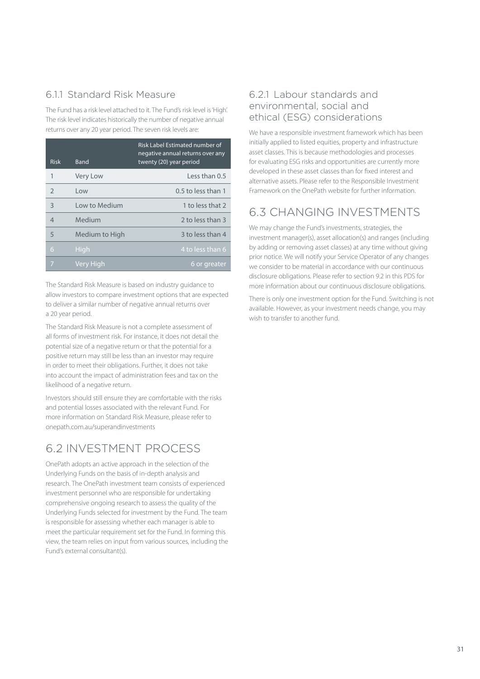# 6.11 Standard Risk Measure

The Fund has a risk level attached to it. The Fund's risk level is 'High'. The risk level indicates historically the number of negative annual returns over any 20 year period. The seven risk levels are:

| <b>Risk</b>    | Band           | Risk Label Estimated number of<br>negative annual returns over any<br>twenty (20) year period |
|----------------|----------------|-----------------------------------------------------------------------------------------------|
| 1              | Very Low       | $l$ ess than 0.5                                                                              |
| $\mathcal{P}$  | l ow           | $0.5$ to less than 1                                                                          |
| 3              | Low to Medium  | 1 to less that 2                                                                              |
| $\overline{4}$ | Medium         | 2 to less than 3                                                                              |
| 5              | Medium to High | 3 to less than 4                                                                              |
| 6              | High           | 4 to less than 6                                                                              |
| 7              | Very High      | 6 or greater                                                                                  |

The Standard Risk Measure is based on industry guidance to allow investors to compare investment options that are expected to deliver a similar number of negative annual returns over a 20 year period.

The Standard Risk Measure is not a complete assessment of all forms of investment risk. For instance, it does not detail the potential size of a negative return or that the potential for a positive return may still be less than an investor may require in order to meet their obligations. Further, it does not take into account the impact of administration fees and tax on the likelihood of a negative return.

Investors should still ensure they are comfortable with the risks and potential losses associated with the relevant Fund. For more information on Standard Risk Measure, please refer to [onepath.com.au/superandinvestments](http://onepath.com.au/superandinvestments)

# 6.2 INVESTMENT PROCESS

OnePath adopts an active approach in the selection of the Underlying Funds on the basis of in-depth analysis and research. The OnePath investment team consists of experienced investment personnel who are responsible for undertaking comprehensive ongoing research to assess the quality of the Underlying Funds selected for investment by the Fund. The team is responsible for assessing whether each manager is able to meet the particular requirement set for the Fund. In forming this view, the team relies on input from various sources, including the Fund's external consultant(s).

# 6.2.1 Labour standards and environmental, social and ethical (ESG) considerations

We have a responsible investment framework which has been initially applied to listed equities, property and infrastructure asset classes. This is because methodologies and processes for evaluating ESG risks and opportunities are currently more developed in these asset classes than for fixed interest and alternative assets. Please refer to the Responsible Investment Framework on the OnePath website for further information.

# 6.3 CHANGING INVESTMENTS

We may change the Fund's investments, strategies, the investment manager(s), asset allocation(s) and ranges (including by adding or removing asset classes) at any time without giving prior notice. We will notify your Service Operator of any changes we consider to be material in accordance with our continuous disclosure obligations. Please refer to section 9.2 in this PDS for more information about our continuous disclosure obligations.

There is only one investment option for the Fund. Switching is not available. However, as your investment needs change, you may wish to transfer to another fund.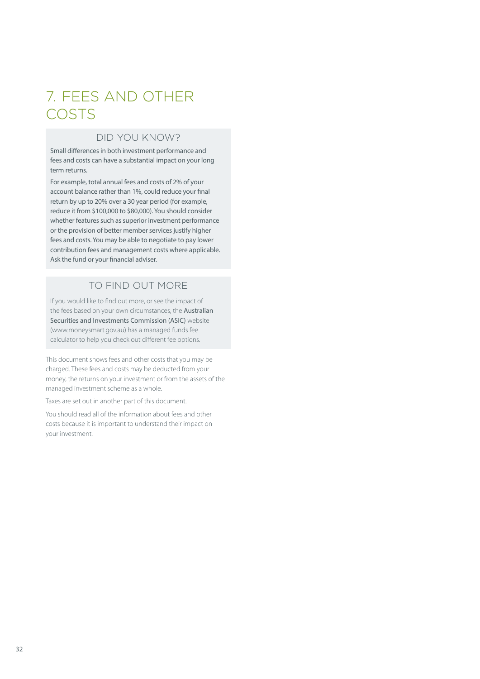# <span id="page-33-0"></span>7. FEES AND OTHER COSTS

# DID YOU KNOW?

Small differences in both investment performance and fees and costs can have a substantial impact on your long term returns.

For example, total annual fees and costs of 2% of your account balance rather than 1%, could reduce your final return by up to 20% over a 30 year period (for example, reduce it from \$100,000 to \$80,000). You should consider whether features such as superior investment performance or the provision of better member services justify higher fees and costs. You may be able to negotiate to pay lower contribution fees and management costs where applicable. Ask the fund or your financial adviser.

# TO FIND OUT MORE

If you would like to find out more, or see the impact of the fees based on your own circumstances, the Australian Securities and Investments Commission (ASIC) website ([www.moneysmart.gov.au](http://www.moneysmart.gov.au)) has a managed funds fee calculator to help you check out different fee options.

This document shows fees and other costs that you may be charged. These fees and costs may be deducted from your money, the returns on your investment or from the assets of the managed investment scheme as a whole.

Taxes are set out in another part of this document.

You should read all of the information about fees and other costs because it is important to understand their impact on your investment.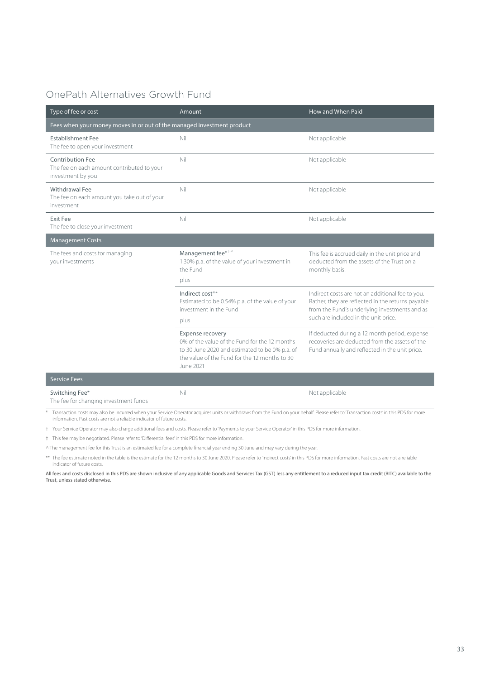# OnePath Alternatives Growth Fund

| Type of fee or cost                                                                        | Amount                                                                                                                                                                            | How and When Paid                                                                                                                                      |
|--------------------------------------------------------------------------------------------|-----------------------------------------------------------------------------------------------------------------------------------------------------------------------------------|--------------------------------------------------------------------------------------------------------------------------------------------------------|
| Fees when your money moves in or out of the managed investment product                     |                                                                                                                                                                                   |                                                                                                                                                        |
| <b>Establishment Fee</b><br>The fee to open your investment                                | Nil                                                                                                                                                                               | Not applicable                                                                                                                                         |
| <b>Contribution Fee</b><br>The fee on each amount contributed to your<br>investment by you | Nil                                                                                                                                                                               | Not applicable                                                                                                                                         |
| Withdrawal Fee<br>The fee on each amount you take out of your<br>investment                | Nil                                                                                                                                                                               | Not applicable                                                                                                                                         |
| Exit Fee<br>The fee to close your investment                                               | Nil                                                                                                                                                                               | Not applicable                                                                                                                                         |
| <b>Management Costs</b>                                                                    |                                                                                                                                                                                   |                                                                                                                                                        |
| The fees and costs for managing<br>your investments                                        | Management fee* <sup>**</sup><br>1.30% p.a. of the value of your investment in<br>the Fund                                                                                        | This fee is accrued daily in the unit price and<br>deducted from the assets of the Trust on a<br>monthly basis.                                        |
|                                                                                            | plus                                                                                                                                                                              |                                                                                                                                                        |
|                                                                                            | Indirect cost**<br>Estimated to be 0.54% p.a. of the value of your<br>investment in the Fund                                                                                      | Indirect costs are not an additional fee to you.<br>Rather, they are reflected in the returns payable<br>from the Fund's underlying investments and as |
|                                                                                            | plus                                                                                                                                                                              | such are included in the unit price.                                                                                                                   |
|                                                                                            | Expense recovery<br>0% of the value of the Fund for the 12 months<br>to 30 June 2020 and estimated to be 0% p.a. of<br>the value of the Fund for the 12 months to 30<br>June 2021 | If deducted during a 12 month period, expense<br>recoveries are deducted from the assets of the<br>Fund annually and reflected in the unit price.      |
| <b>Service Fees</b>                                                                        |                                                                                                                                                                                   |                                                                                                                                                        |
| Switching Fee*<br>The fee for changing investment funds                                    | Nil                                                                                                                                                                               | Not applicable                                                                                                                                         |

\* Transaction costs may also be incurred when your Service Operator acquires units or withdraws from the Fund on your behalf. Please refer to 'Transaction costs' in this PDS for more information. Past costs are not a reliable indicator of future costs.

† Your Service Operator may also charge additional fees and costs. Please refer to 'Payments to your Service Operator' in this PDS for more information.

‡ This fee may be negotiated. Please refer to 'Differential fees' in this PDS for more information.

^ The management fee for this Trust is an estimated fee for a complete financial year ending 30 June and may vary during the year.

\*\* The fee estimate noted in the table is the estimate for the 12 months to 30 June 2020. Please refer to 'Indirect costs' in this PDS for more information. Past costs are not a reliable indicator of future costs.

All fees and costs disclosed in this PDS are shown inclusive of any applicable Goods and Services Tax (GST) less any entitlement to a reduced input tax credit (RITC) available to the Trust, unless stated otherwise.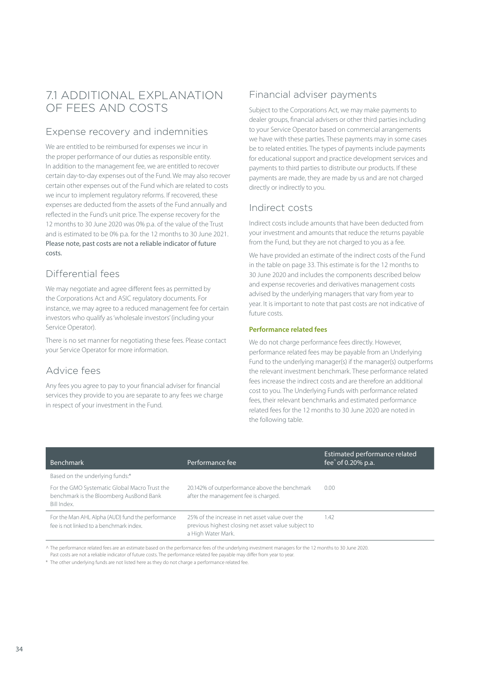# 7.1 ADDITIONAL EXPLANATION OF FEES AND COSTS

# Expense recovery and indemnities

We are entitled to be reimbursed for expenses we incur in the proper performance of our duties as responsible entity. In addition to the management fee, we are entitled to recover certain day-to-day expenses out of the Fund. We may also recover certain other expenses out of the Fund which are related to costs we incur to implement regulatory reforms. If recovered, these expenses are deducted from the assets of the Fund annually and reflected in the Fund's unit price. The expense recovery for the 12 months to 30 June 2020 was 0% p.a. of the value of the Trust and is estimated to be 0% p.a. for the 12 months to 30 June 2021. Please note, past costs are not a reliable indicator of future costs.

# Differential fees

We may negotiate and agree different fees as permitted by the Corporations Act and ASIC regulatory documents. For instance, we may agree to a reduced management fee for certain investors who qualify as 'wholesale investors' (including your Service Operator).

There is no set manner for negotiating these fees. Please contact your Service Operator for more information.

# Advice fees

Any fees you agree to pay to your financial adviser for financial services they provide to you are separate to any fees we charge in respect of your investment in the Fund.

# Financial adviser payments

Subject to the Corporations Act, we may make payments to dealer groups, financial advisers or other third parties including to your Service Operator based on commercial arrangements we have with these parties. These payments may in some cases be to related entities. The types of payments include payments for educational support and practice development services and payments to third parties to distribute our products. If these payments are made, they are made by us and are not charged directly or indirectly to you.

# Indirect costs

Indirect costs include amounts that have been deducted from your investment and amounts that reduce the returns payable from the Fund, but they are not charged to you as a fee.

We have provided an estimate of the indirect costs of the Fund in the table on page 33. This estimate is for the 12 months to 30 June 2020 and includes the components described below and expense recoveries and derivatives management costs advised by the underlying managers that vary from year to year. It is important to note that past costs are not indicative of future costs.

#### **Performance related fees**

We do not charge performance fees directly. However, performance related fees may be payable from an Underlying Fund to the underlying manager(s) if the manager(s) outperforms the relevant investment benchmark. These performance related fees increase the indirect costs and are therefore an additional cost to you. The Underlying Funds with performance related fees, their relevant benchmarks and estimated performance related fees for the 12 months to 30 June 2020 are noted in the following table.

| <b>Benchmark</b>                                                                                        | Performance fee                                                                                                              | Estimated performance related<br>fee $\degree$ of 0.20% p.a. |
|---------------------------------------------------------------------------------------------------------|------------------------------------------------------------------------------------------------------------------------------|--------------------------------------------------------------|
| Based on the underlying funds:*                                                                         |                                                                                                                              |                                                              |
| For the GMO Systematic Global Macro Trust the<br>benchmark is the Bloomberg AusBond Bank<br>Bill Index. | 20.142% of outperformance above the benchmark<br>after the management fee is charged.                                        | 0.00                                                         |
| For the Man AHL Alpha (AUD) fund the performance<br>fee is not linked to a benchmark index.             | 25% of the increase in net asset value over the<br>previous highest closing net asset value subject to<br>a High Water Mark. | 1.42                                                         |

^ The performance related fees are an estimate based on the performance fees of the underlying investment managers for the 12 months to 30 June 2020.

Past costs are not a reliable indicator of future costs. The performance related fee payable may differ from year to year.

\* The other underlying funds are not listed here as they do not charge a performance related fee.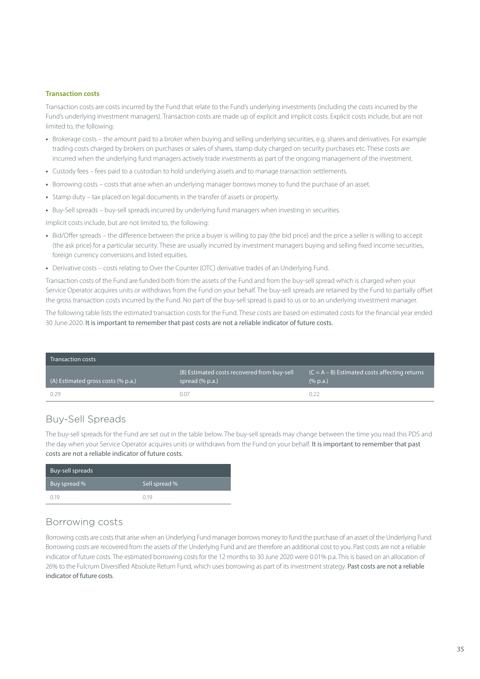#### **Transaction costs**

Transaction costs are costs incurred by the Fund that relate to the Fund's underlying investments (including the costs incurred by the Fund's underlying investment managers). Transaction costs are made up of explicit and implicit costs. Explicit costs include, but are not limited to, the following:

- **•** Brokerage costs the amount paid to a broker when buying and selling underlying securities, e.g. shares and derivatives. For example trading costs charged by brokers on purchases or sales of shares, stamp duty charged on security purchases etc. These costs are incurred when the underlying fund managers actively trade investments as part of the ongoing management of the investment.
- **•** Custody fees fees paid to a custodian to hold underlying assets and to manage transaction settlements.
- **•** Borrowing costs costs that arise when an underlying manager borrows money to fund the purchase of an asset.
- **•** Stamp duty tax placed on legal documents in the transfer of assets or property.
- **•** Buy-Sell spreads buy-sell spreads incurred by underlying fund managers when investing in securities.

Implicit costs include, but are not limited to, the following:

- **•** Bid/Offer spreads the difference between the price a buyer is willing to pay (the bid price) and the price a seller is willing to accept (the ask price) for a particular security. These are usually incurred by investment managers buying and selling fixed income securities, foreign currency conversions and listed equities.
- **•** Derivative costs costs relating to Over the Counter (OTC) derivative trades of an Underlying Fund.

Transaction costs of the Fund are funded both from the assets of the Fund and from the buy-sell spread which is charged when your Service Operator acquires units or withdraws from the Fund on your behalf. The buy-sell spreads are retained by the Fund to partially offset the gross transaction costs incurred by the Fund. No part of the buy-sell spread is paid to us or to an underlying investment manager.

The following table lists the estimated transaction costs for the Fund. These costs are based on estimated costs for the financial year ended 30 June 2020. It is important to remember that past costs are not a reliable indicator of future costs.

| Transaction costs                  |                                                                |                                                                |
|------------------------------------|----------------------------------------------------------------|----------------------------------------------------------------|
| (A) Estimated gross costs (% p.a.) | (B) Estimated costs recovered from buy-sell<br>spread (% p.a.) | $(C = A - B)$ Estimated costs affecting returns<br>$(\%$ p.a.) |
| 0.29                               | 0.07                                                           |                                                                |

## Buy-Sell Spreads

The buy-sell spreads for the Fund are set out in the table below. The buy-sell spreads may change between the time you read this PDS and the day when your Service Operator acquires units or withdraws from the Fund on your behalf. It is important to remember that past costs are not a reliable indicator of future costs.

| Buy-sell spreads |               |
|------------------|---------------|
| Buy spread %     | Sell spread % |
| 0.19             | n 19          |

### Borrowing costs

Borrowing costs are costs that arise when an Underlying Fund manager borrows money to fund the purchase of an asset of the Underlying Fund. Borrowing costs are recovered from the assets of the Underlying Fund and are therefore an additional cost to you. Past costs are not a reliable indicator of future costs. The estimated borrowing costs for the 12 months to 30 June 2020 were 0.01% p.a. This is based on an allocation of 26% to the Fulcrum Diversified Absolute Return Fund, which uses borrowing as part of its investment strategy. Past costs are not a reliable indicator of future costs.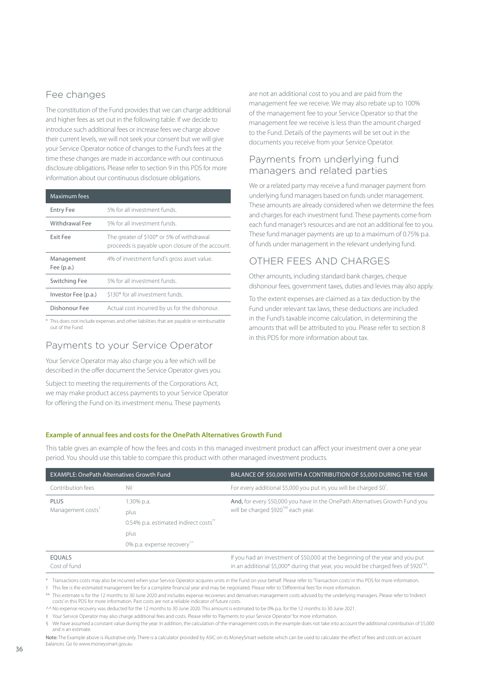# Fee changes

The constitution of the Fund provides that we can charge additional and higher fees as set out in the following table. If we decide to introduce such additional fees or increase fees we charge above their current levels, we will not seek your consent but we will give your Service Operator notice of changes to the Fund's fees at the time these changes are made in accordance with our continuous disclosure obligations. Please refer to section 9 in this PDS for more information about our continuous disclosure obligations.

| Maximum fees               |                                                                                               |
|----------------------------|-----------------------------------------------------------------------------------------------|
| <b>Entry Fee</b>           | 5% for all investment funds.                                                                  |
| Withdrawal Fee             | 5% for all investment funds.                                                                  |
| Exit Fee                   | The greater of \$100* or 5% of withdrawal<br>proceeds is payable upon closure of the account. |
| Management<br>Fee $(p.a.)$ | 4% of investment fund's gross asset value.                                                    |
| Switching Fee              | 5% for all investment funds.                                                                  |
| Investor Fee (p.a.)        | \$130* for all investment funds.                                                              |
| Dishonour Fee              | Actual cost incurred by us for the dishonour.                                                 |

\* This does not include expenses and other liabilities that are payable or reimbursable out of the Fund.

# Payments to your Service Operator

Your Service Operator may also charge you a fee which will be described in the offer document the Service Operator gives you.

Subject to meeting the requirements of the Corporations Act, we may make product access payments to your Service Operator for offering the Fund on its investment menu. These payments

are not an additional cost to you and are paid from the management fee we receive. We may also rebate up to 100% of the management fee to your Service Operator so that the management fee we receive is less than the amount charged to the Fund. Details of the payments will be set out in the documents you receive from your Service Operator.

## Payments from underlying fund managers and related parties

We or a related party may receive a fund manager payment from underlying fund managers based on funds under management. These amounts are already considered when we determine the fees and charges for each investment fund. These payments come from each fund manager's resources and are not an additional fee to you. These fund manager payments are up to a maximum of 0.75% p.a. of funds under management in the relevant underlying fund.

# OTHER FEES AND CHARGES

Other amounts, including standard bank charges, cheque dishonour fees, government taxes, duties and levies may also apply.

To the extent expenses are claimed as a tax deduction by the Fund under relevant tax laws, these deductions are included in the Fund's taxable income calculation, in determining the amounts that will be attributed to you. Please refer to section 8 in this PDS for more information about tax.

#### **Example of annual fees and costs for the OnePath Alternatives Growth Fund**

This table gives an example of how the fees and costs in this managed investment product can affect your investment over a one year period. You should use this table to compare this product with other managed investment products.

| <b>EXAMPLE: OnePath Alternatives Growth Fund</b> |                                        | BALANCE OF \$50,000 WITH A CONTRIBUTION OF \$5,000 DURING THE YEAR                                 |  |
|--------------------------------------------------|----------------------------------------|----------------------------------------------------------------------------------------------------|--|
| Contribution fees                                | Nil                                    | For every additional \$5,000 you put in, you will be charged \$0 <sup>*</sup> .                    |  |
| <b>PLUS</b>                                      | 1.30% p.a.                             | And, for every \$50,000 you have in the OnePath Alternatives Growth Fund you                       |  |
| Management costs <sup>†</sup>                    | plus                                   | will be charged \$920 <sup>**§</sup> each year.                                                    |  |
|                                                  | 0.54% p.a. estimated indirect costs"   |                                                                                                    |  |
|                                                  | plus                                   |                                                                                                    |  |
|                                                  | 0% p.a. expense recovery <sup>^^</sup> |                                                                                                    |  |
| <b>EOUALS</b>                                    |                                        | If you had an investment of \$50,000 at the beginning of the year and you put                      |  |
| Cost of fund                                     |                                        | in an additional \$5,000* during that year, you would be charged fees of $$920^*$ <sup>+\$</sup> . |  |

\* Transactions costs may also be incurred when your Service Operator acquires units in the Fund on your behalf. Please refer to 'Transaction costs' in this PDS for more information.

† This fee is the estimated management fee for a complete financial year and may be negotiated. Please refer to 'Differential fees' for more information.

\*\* This estimate is for the 12 months to 30 June 2020 and includes expense recoveries and derivatives management costs advised by the underlying managers. Please refer to 'Indirect costs' in this PDS for more information. Past costs are not a reliable indicator of future costs.

^^No expense recovery was deducted for the 12 months to 30 June 2020. This amount is estimated to be 0% p.a. for the 12 months to 30 June 2021.

‡ Your Service Operator may also charge additional fees and costs. Please refer to 'Payments to your Service Operator' for more information.

§ We have assumed a constant value during the year. In addition, the calculation of the management costs in the example does not take into account the additional contribution of \$5,000 and is an estimate.

Note: The Example above is illustrative only. There is a calculator provided by ASIC on its MoneySmart website which can be used to calculate the effect of fees and costs on account balances. Go to [www.moneysmart.gov.au](http://moneysmart.gov.au)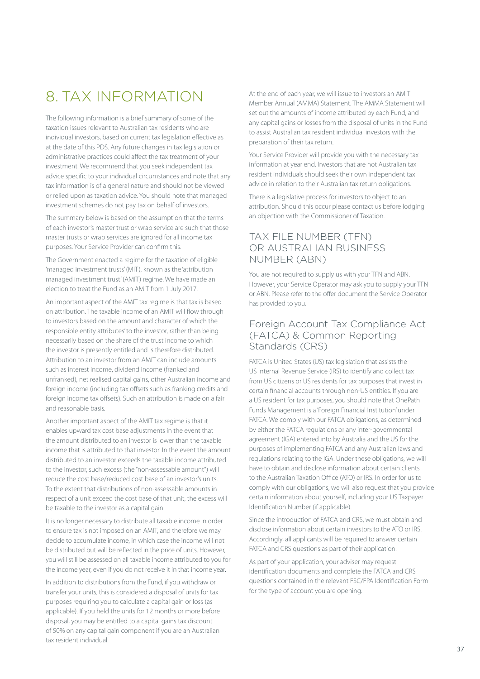# <span id="page-38-0"></span>8. TAX INFORMATION

The following information is a brief summary of some of the taxation issues relevant to Australian tax residents who are individual investors, based on current tax legislation effective as at the date of this PDS. Any future changes in tax legislation or administrative practices could affect the tax treatment of your investment. We recommend that you seek independent tax advice specific to your individual circumstances and note that any tax information is of a general nature and should not be viewed or relied upon as taxation advice. You should note that managed investment schemes do not pay tax on behalf of investors.

The summary below is based on the assumption that the terms of each investor's master trust or wrap service are such that those master trusts or wrap services are ignored for all income tax purposes. Your Service Provider can confirm this.

The Government enacted a regime for the taxation of eligible 'managed investment trusts' (MIT), known as the 'attribution managed investment trust' (AMIT) regime. We have made an election to treat the Fund as an AMIT from 1 July 2017.

An important aspect of the AMIT tax regime is that tax is based on attribution. The taxable income of an AMIT will flow through to investors based on the amount and character of which the responsible entity attributes' to the investor, rather than being necessarily based on the share of the trust income to which the investor is presently entitled and is therefore distributed. Attribution to an investor from an AMIT can include amounts such as interest income, dividend income (franked and unfranked), net realised capital gains, other Australian income and foreign income (including tax offsets such as franking credits and foreign income tax offsets). Such an attribution is made on a fair and reasonable basis.

Another important aspect of the AMIT tax regime is that it enables upward tax cost base adjustments in the event that the amount distributed to an investor is lower than the taxable income that is attributed to that investor. In the event the amount distributed to an investor exceeds the taxable income attributed to the investor, such excess (the "non-assessable amount") will reduce the cost base/reduced cost base of an investor's units. To the extent that distributions of non-assessable amounts in respect of a unit exceed the cost base of that unit, the excess will be taxable to the investor as a capital gain.

It is no longer necessary to distribute all taxable income in order to ensure tax is not imposed on an AMIT, and therefore we may decide to accumulate income, in which case the income will not be distributed but will be reflected in the price of units. However, you will still be assessed on all taxable income attributed to you for the income year, even if you do not receive it in that income year.

In addition to distributions from the Fund, if you withdraw or transfer your units, this is considered a disposal of units for tax purposes requiring you to calculate a capital gain or loss (as applicable). If you held the units for 12 months or more before disposal, you may be entitled to a capital gains tax discount of 50% on any capital gain component if you are an Australian tax resident individual.

At the end of each year, we will issue to investors an AMIT Member Annual (AMMA) Statement. The AMMA Statement will set out the amounts of income attributed by each Fund, and any capital gains or losses from the disposal of units in the Fund to assist Australian tax resident individual investors with the preparation of their tax return.

Your Service Provider will provide you with the necessary tax information at year end. Investors that are not Australian tax resident individuals should seek their own independent tax advice in relation to their Australian tax return obligations.

There is a legislative process for investors to object to an attribution. Should this occur please contact us before lodging an objection with the Commissioner of Taxation.

## TAX FILE NUMBER (TFN) OR AUSTRALIAN BUSINESS NUMBER (ABN)

You are not required to supply us with your TFN and ABN. However, your Service Operator may ask you to supply your TFN or ABN. Please refer to the offer document the Service Operator has provided to you.

## Foreign Account Tax Compliance Act (FATCA) & Common Reporting Standards (CRS)

FATCA is United States (US) tax legislation that assists the US Internal Revenue Service (IRS) to identify and collect tax from US citizens or US residents for tax purposes that invest in certain financial accounts through non-US entities. If you are a US resident for tax purposes, you should note that OnePath Funds Management is a 'Foreign Financial Institution' under FATCA. We comply with our FATCA obligations, as determined by either the FATCA regulations or any inter-governmental agreement (IGA) entered into by Australia and the US for the purposes of implementing FATCA and any Australian laws and regulations relating to the IGA. Under these obligations, we will have to obtain and disclose information about certain clients to the Australian Taxation Office (ATO) or IRS. In order for us to comply with our obligations, we will also request that you provide certain information about yourself, including your US Taxpayer Identification Number (if applicable).

Since the introduction of FATCA and CRS, we must obtain and disclose information about certain investors to the ATO or IRS. Accordingly, all applicants will be required to answer certain FATCA and CRS questions as part of their application.

As part of your application, your adviser may request identification documents and complete the FATCA and CRS questions contained in the relevant FSC/FPA Identification Form for the type of account you are opening.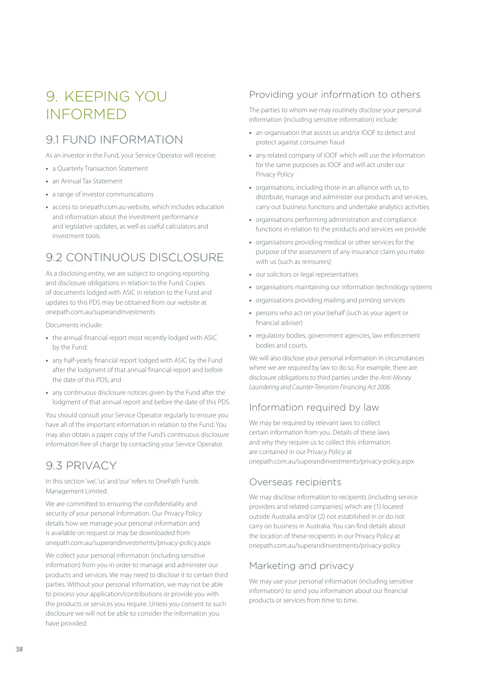# <span id="page-39-0"></span>9 KEEPING YOU INFORMED

# 9.1 FUND INFORMATION

As an investor in the Fund, your Service Operator will receive:

- **•** a Quarterly Transaction Statement
- **•** an Annual Tax Statement
- **•** a range of investor communications
- **•** access to [onepath.com.au](http://onepath.com.au) website, which includes education and information about the investment performance and legislative updates, as well as useful calculators and investment tools.

# 9.2 CONTINUOUS DISCLOSURE

As a disclosing entity, we are subject to ongoing reporting and disclosure obligations in relation to the Fund. Copies of documents lodged with ASIC in relation to the Fund and updates to this PDS may be obtained from our website at [onepath.com.au/superandinvestments](http://onepath.com.au/superandinvestments)

Documents include:

- **•** the annual financial report most recently lodged with ASIC by the Fund;
- **•** any half-yearly financial report lodged with ASIC by the Fund after the lodgment of that annual financial report and before the date of this PDS; and
- **•** any continuous disclosure notices given by the Fund after the lodgment of that annual report and before the date of this PDS.

You should consult your Service Operator regularly to ensure you have all of the important information in relation to the Fund. You may also obtain a paper copy of the Fund's continuous disclosure information free of charge by contacting your Service Operator.

# 9.3 PRIVACY

In this section 'we', 'us' and 'our' refers to OnePath Funds Management Limited.

We are committed to ensuring the confidentiality and security of your personal information. Our Privacy Policy details how we manage your personal information and is available on request or may be downloaded from [onepath.com.au/superandinvestments/privacy-policy.aspx](http://onepath.com.au/superandinvestments/privacy-policy.aspx)

We collect your personal information (including sensitive information) from you in order to manage and administer our products and services. We may need to disclose it to certain third parties. Without your personal information, we may not be able to process your application/contributions or provide you with the products or services you require. Unless you consent to such disclosure we will not be able to consider the information you have provided.

# Providing your information to others

The parties to whom we may routinely disclose your personal information (including sensitive information) include:

- **•** an organisation that assists us and/or IOOF to detect and protect against consumer fraud
- **•** any related company of IOOF which will use the information for the same purposes as IOOF and will act under our Privacy Policy
- **•** organisations, including those in an alliance with us, to distribute, manage and administer our products and services, carry out business functions and undertake analytics activities
- **•** organisations performing administration and compliance functions in relation to the products and services we provide
- **•** organisations providing medical or other services for the purpose of the assessment of any insurance claim you make with us (such as reinsurers)
- **•** our solicitors or legal representatives
- **•** organisations maintaining our information technology systems
- **•** organisations providing mailing and printing services
- **•** persons who act on your behalf (such as your agent or financial adviser)
- **•** regulatory bodies, government agencies, law enforcement bodies and courts.

We will also disclose your personal information in circumstances where we are required by law to do so. For example, there are disclosure obligations to third parties under the *Anti-Money Laundering and Counter-Terrorism Financing Act 2006*.

## Information required by law

We may be required by relevant laws to collect certain information from you. Details of these laws and why they require us to collect this information are contained in our Privacy Policy at [onepath.com.au/superandinvestments/privacy-policy.aspx](http://onepath.com.au/superandinvestments/privacy-policy.aspx) 

### Overseas recipients

We may disclose information to recipients (including service providers and related companies) which are (1) located outside Australia and/or (2) not established in or do not carry on business in Australia. You can find details about the location of these recipients in our Privacy Policy at [onepath.com.au/superandinvestments/privacy-policy](http://onepath.com.au/superandinvestments/privacy-policy.aspx)

# Marketing and privacy

We may use your personal information (including sensitive information) to send you information about our financial products or services from time to time.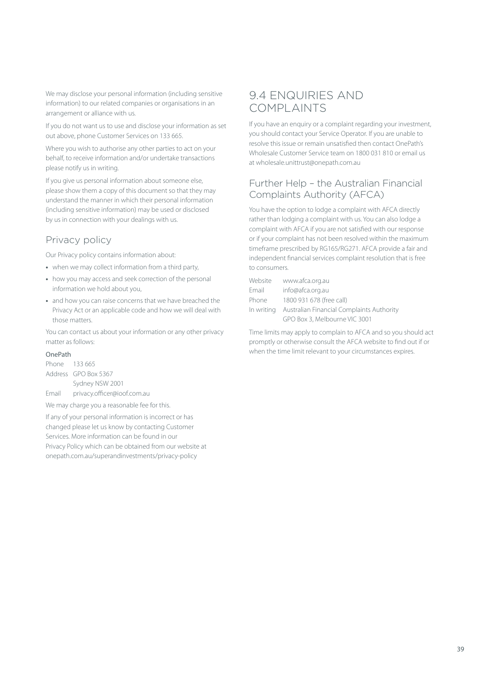We may disclose your personal information (including sensitive information) to our related companies or organisations in an arrangement or alliance with us.

If you do not want us to use and disclose your information as set out above, phone Customer Services on 133 665.

Where you wish to authorise any other parties to act on your behalf, to receive information and/or undertake transactions please notify us in writing.

If you give us personal information about someone else, please show them a copy of this document so that they may understand the manner in which their personal information (including sensitive information) may be used or disclosed by us in connection with your dealings with us.

# Privacy policy

Our Privacy policy contains information about:

- **•** when we may collect information from a third party,
- **•** how you may access and seek correction of the personal information we hold about you,
- **•** and how you can raise concerns that we have breached the Privacy Act or an applicable code and how we will deal with those matters.

You can contact us about your information or any other privacy matter as follows:

#### OnePath

| Phone 133 665 |                             |
|---------------|-----------------------------|
|               | Address GPO Box 5367        |
|               | Sydney NSW 2001             |
| Fmail         | privacy.officer@ioof.com.au |

We may charge you a reasonable fee for this.

If any of your personal information is incorrect or has changed please let us know by contacting Customer Services. More information can be found in our Privacy Policy which can be obtained from our website at [onepath.com.au/superandinvestments/privacy-policy](http://onepath.com.au/superandinvestments/privacy-policy)

# 9.4 ENQUIRIES AND COMPLAINTS

If you have an enquiry or a complaint regarding your investment, you should contact your Service Operator. If you are unable to resolve this issue or remain unsatisfied then contact OnePath's Wholesale Customer Service team on 1800 031 810 or email us at wholesale.unittrust@onepath.com.au

### Further Help – the Australian Financial Complaints Authority (AFCA)

You have the option to lodge a complaint with AFCA directly rather than lodging a complaint with us. You can also lodge a complaint with AFCA if you are not satisfied with our response or if your complaint has not been resolved within the maximum timeframe prescribed by RG165/RG271. AFCA provide a fair and independent financial services complaint resolution that is free to consumers.

| Website | www.afca.org.au                                      |
|---------|------------------------------------------------------|
| Email   | info@afca.org.au                                     |
| Phone   | 1800 931 678 (free call)                             |
|         | In writing Australian Financial Complaints Authority |
|         | GPO Box 3. Melbourne VIC 3001                        |
|         |                                                      |

Time limits may apply to complain to AFCA and so you should act promptly or otherwise consult the AFCA website to find out if or when the time limit relevant to your circumstances expires.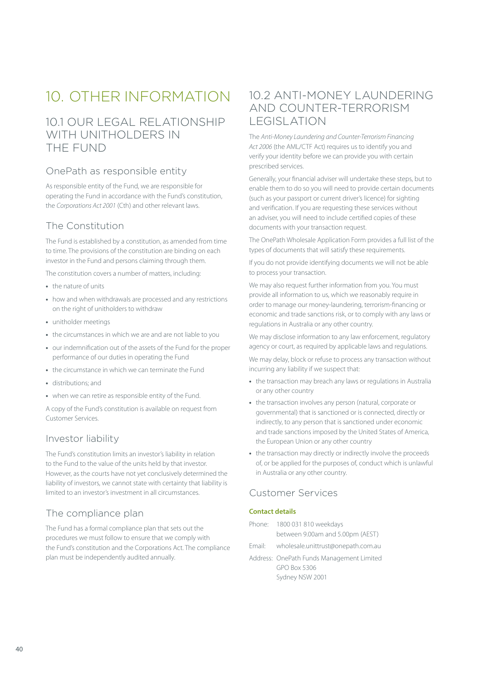# <span id="page-41-0"></span>10. OTHER INFORMATION

# 10.1 OUR LEGAL RELATIONSHIP WITH UNITHOLDERS IN THE FUND

## OnePath as responsible entity

As responsible entity of the Fund, we are responsible for operating the Fund in accordance with the Fund's constitution, the *Corporations Act 2001* (Cth) and other relevant laws.

## The Constitution

The Fund is established by a constitution, as amended from time to time. The provisions of the constitution are binding on each investor in the Fund and persons claiming through them.

The constitution covers a number of matters, including:

- **•** the nature of units
- **•** how and when withdrawals are processed and any restrictions on the right of unitholders to withdraw
- **•** unitholder meetings
- **•** the circumstances in which we are and are not liable to you
- **•** our indemnification out of the assets of the Fund for the proper performance of our duties in operating the Fund
- **•** the circumstance in which we can terminate the Fund
- **•** distributions; and
- **•** when we can retire as responsible entity of the Fund.

A copy of the Fund's constitution is available on request from Customer Services.

### Investor liability

The Fund's constitution limits an investor's liability in relation to the Fund to the value of the units held by that investor. However, as the courts have not yet conclusively determined the liability of investors, we cannot state with certainty that liability is limited to an investor's investment in all circumstances.

# The compliance plan

The Fund has a formal compliance plan that sets out the procedures we must follow to ensure that we comply with the Fund's constitution and the Corporations Act. The compliance plan must be independently audited annually.

# 10.2 ANTI-MONEY LAUNDERING AND COUNTER-TERRORISM LEGISLATION

The *Anti-Money Laundering and Counter-Terrorism Financing Act 2006* (the AML/CTF Act) requires us to identify you and verify your identity before we can provide you with certain prescribed services.

Generally, your financial adviser will undertake these steps, but to enable them to do so you will need to provide certain documents (such as your passport or current driver's licence) for sighting and verification. If you are requesting these services without an adviser, you will need to include certified copies of these documents with your transaction request.

The OnePath Wholesale Application Form provides a full list of the types of documents that will satisfy these requirements.

If you do not provide identifying documents we will not be able to process your transaction.

We may also request further information from you. You must provide all information to us, which we reasonably require in order to manage our money-laundering, terrorism-financing or economic and trade sanctions risk, or to comply with any laws or regulations in Australia or any other country.

We may disclose information to any law enforcement, regulatory agency or court, as required by applicable laws and regulations.

We may delay, block or refuse to process any transaction without incurring any liability if we suspect that:

- **•** the transaction may breach any laws or regulations in Australia or any other country
- **•** the transaction involves any person (natural, corporate or governmental) that is sanctioned or is connected, directly or indirectly, to any person that is sanctioned under economic and trade sanctions imposed by the United States of America, the European Union or any other country
- **•** the transaction may directly or indirectly involve the proceeds of, or be applied for the purposes of, conduct which is unlawful in Australia or any other country.

## Customer Services

#### **Contact details**

- Phone: 1800 031 810 weekdays between 9.00am and 5.00pm (AEST)
- Email: wholesale.unittrust@onepath.com.au
- Address: OnePath Funds Management Limited GPO Box 5306 Sydney NSW 2001